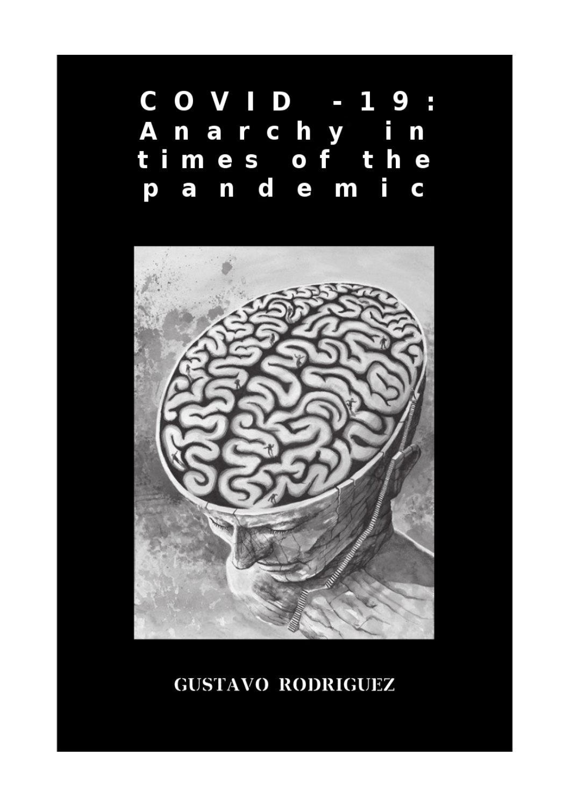#### COVID - 19 F. A narchy i  $\mathbf n$ times of the n d e m i  $\overline{a}$ p  $\bullet$



## **GUSTAVO RODRIGUEZ**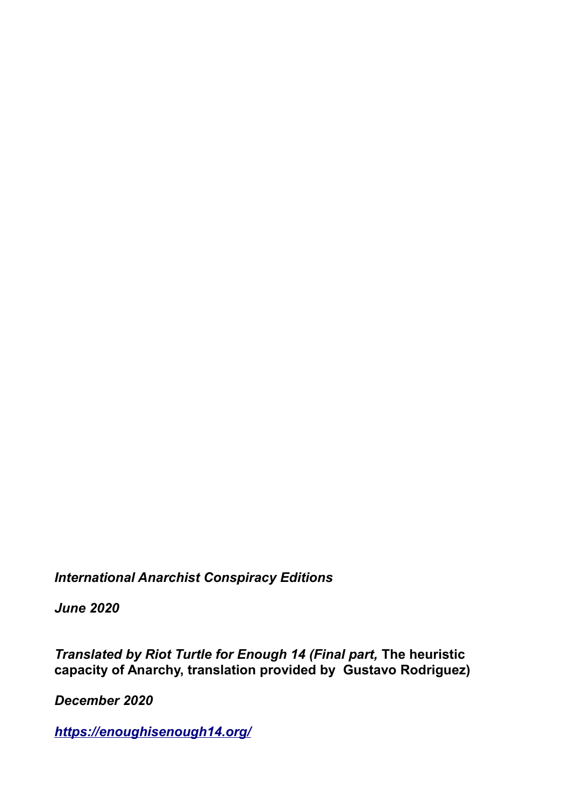*International Anarchist Conspiracy Editions*

*June 2020*

*Translated by Riot Turtle for Enough 14 (Final part,* **The heuristic capacity of Anarchy, translation provided by Gustavo Rodriguez)**

*December 2020*

*<https://enoughisenough14.org/>*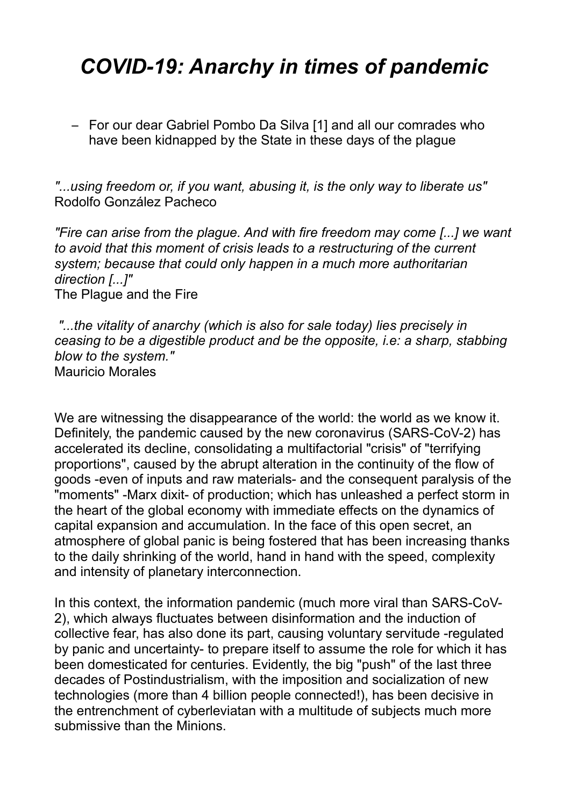# *COVID-19: Anarchy in times of pandemic*

– For our dear Gabriel Pombo Da Silva [1] and all our comrades who have been kidnapped by the State in these days of the plague

*"...using freedom or, if you want, abusing it, is the only way to liberate us"*  Rodolfo González Pacheco

*"Fire can arise from the plague. And with fire freedom may come [...] we want to avoid that this moment of crisis leads to a restructuring of the current system; because that could only happen in a much more authoritarian direction [...]"* The Plague and the Fire

*"...the vitality of anarchy (which is also for sale today) lies precisely in ceasing to be a digestible product and be the opposite, i.e: a sharp, stabbing blow to the system."* Mauricio Morales

We are witnessing the disappearance of the world: the world as we know it. Definitely, the pandemic caused by the new coronavirus (SARS-CoV-2) has accelerated its decline, consolidating a multifactorial "crisis" of "terrifying proportions", caused by the abrupt alteration in the continuity of the flow of goods -even of inputs and raw materials- and the consequent paralysis of the "moments" -Marx dixit- of production; which has unleashed a perfect storm in the heart of the global economy with immediate effects on the dynamics of capital expansion and accumulation. In the face of this open secret, an atmosphere of global panic is being fostered that has been increasing thanks to the daily shrinking of the world, hand in hand with the speed, complexity and intensity of planetary interconnection.

In this context, the information pandemic (much more viral than SARS-CoV-2), which always fluctuates between disinformation and the induction of collective fear, has also done its part, causing voluntary servitude -regulated by panic and uncertainty- to prepare itself to assume the role for which it has been domesticated for centuries. Evidently, the big "push" of the last three decades of Postindustrialism, with the imposition and socialization of new technologies (more than 4 billion people connected!), has been decisive in the entrenchment of cyberleviatan with a multitude of subjects much more submissive than the Minions.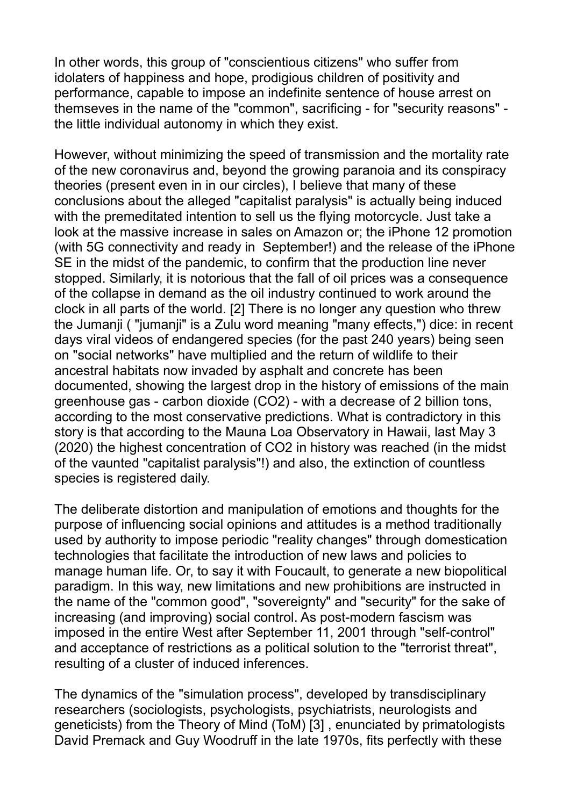In other words, this group of "conscientious citizens" who suffer from idolaters of happiness and hope, prodigious children of positivity and performance, capable to impose an indefinite sentence of house arrest on themseves in the name of the "common", sacrificing - for "security reasons" the little individual autonomy in which they exist.

However, without minimizing the speed of transmission and the mortality rate of the new coronavirus and, beyond the growing paranoia and its conspiracy theories (present even in in our circles), I believe that many of these conclusions about the alleged "capitalist paralysis" is actually being induced with the premeditated intention to sell us the flying motorcycle. Just take a look at the massive increase in sales on Amazon or; the iPhone 12 promotion (with 5G connectivity and ready in September!) and the release of the iPhone SE in the midst of the pandemic, to confirm that the production line never stopped. Similarly, it is notorious that the fall of oil prices was a consequence of the collapse in demand as the oil industry continued to work around the clock in all parts of the world. [2] There is no longer any question who threw the Jumanji ( "jumanji" is a Zulu word meaning "many effects,") dice: in recent days viral videos of endangered species (for the past 240 years) being seen on "social networks" have multiplied and the return of wildlife to their ancestral habitats now invaded by asphalt and concrete has been documented, showing the largest drop in the history of emissions of the main greenhouse gas - carbon dioxide (CO2) - with a decrease of 2 billion tons, according to the most conservative predictions. What is contradictory in this story is that according to the Mauna Loa Observatory in Hawaii, last May 3 (2020) the highest concentration of CO2 in history was reached (in the midst of the vaunted "capitalist paralysis"!) and also, the extinction of countless species is registered daily.

The deliberate distortion and manipulation of emotions and thoughts for the purpose of influencing social opinions and attitudes is a method traditionally used by authority to impose periodic "reality changes" through domestication technologies that facilitate the introduction of new laws and policies to manage human life. Or, to say it with Foucault, to generate a new biopolitical paradigm. In this way, new limitations and new prohibitions are instructed in the name of the "common good", "sovereignty" and "security" for the sake of increasing (and improving) social control. As post-modern fascism was imposed in the entire West after September 11, 2001 through "self-control" and acceptance of restrictions as a political solution to the "terrorist threat", resulting of a cluster of induced inferences.

The dynamics of the "simulation process", developed by transdisciplinary researchers (sociologists, psychologists, psychiatrists, neurologists and geneticists) from the Theory of Mind (ToM) [3] , enunciated by primatologists David Premack and Guy Woodruff in the late 1970s, fits perfectly with these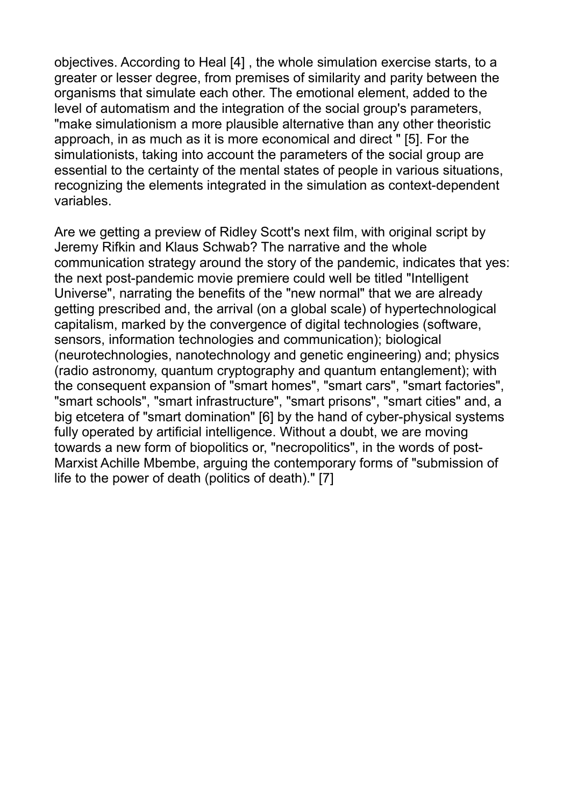objectives. According to Heal [4] , the whole simulation exercise starts, to a greater or lesser degree, from premises of similarity and parity between the organisms that simulate each other. The emotional element, added to the level of automatism and the integration of the social group's parameters, "make simulationism a more plausible alternative than any other theoristic approach, in as much as it is more economical and direct " [5]. For the simulationists, taking into account the parameters of the social group are essential to the certainty of the mental states of people in various situations, recognizing the elements integrated in the simulation as context-dependent variables.

Are we getting a preview of Ridley Scott's next film, with original script by Jeremy Rifkin and Klaus Schwab? The narrative and the whole communication strategy around the story of the pandemic, indicates that yes: the next post-pandemic movie premiere could well be titled "Intelligent Universe", narrating the benefits of the "new normal" that we are already getting prescribed and, the arrival (on a global scale) of hypertechnological capitalism, marked by the convergence of digital technologies (software, sensors, information technologies and communication); biological (neurotechnologies, nanotechnology and genetic engineering) and; physics (radio astronomy, quantum cryptography and quantum entanglement); with the consequent expansion of "smart homes", "smart cars", "smart factories", "smart schools", "smart infrastructure", "smart prisons", "smart cities" and, a big etcetera of "smart domination" [6] by the hand of cyber-physical systems fully operated by artificial intelligence. Without a doubt, we are moving towards a new form of biopolitics or, "necropolitics", in the words of post-Marxist Achille Mbembe, arguing the contemporary forms of "submission of life to the power of death (politics of death)." [7]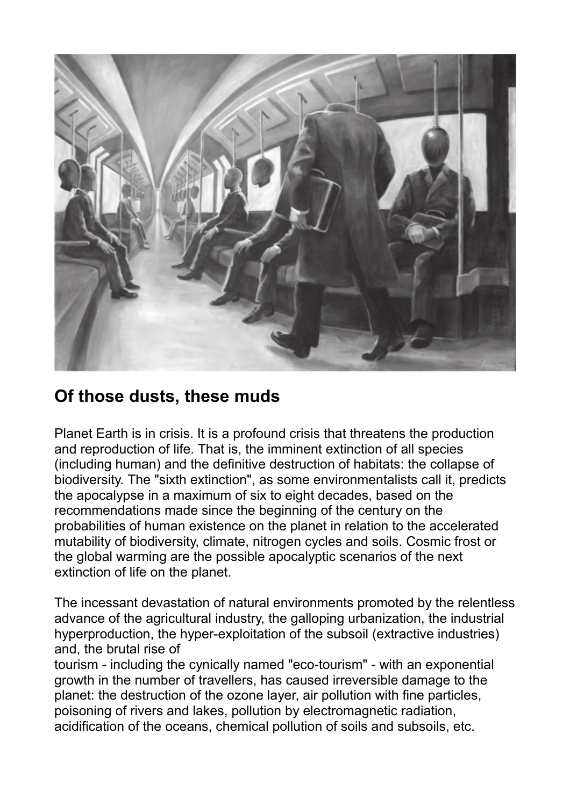

#### **Of those dusts, these muds**

Planet Earth is in crisis. It is a profound crisis that threatens the production and reproduction of life. That is, the imminent extinction of all species (including human) and the definitive destruction of habitats: the collapse of biodiversity. The "sixth extinction", as some environmentalists call it, predicts the apocalypse in a maximum of six to eight decades, based on the recommendations made since the beginning of the century on the probabilities of human existence on the planet in relation to the accelerated mutability of biodiversity, climate, nitrogen cycles and soils. Cosmic frost or the global warming are the possible apocalyptic scenarios of the next extinction of life on the planet.

The incessant devastation of natural environments promoted by the relentless advance of the agricultural industry, the galloping urbanization, the industrial hyperproduction, the hyper-exploitation of the subsoil (extractive industries) and, the brutal rise of

tourism - including the cynically named "eco-tourism" - with an exponential growth in the number of travellers, has caused irreversible damage to the planet: the destruction of the ozone layer, air pollution with fine particles, poisoning of rivers and lakes, pollution by electromagnetic radiation, acidification of the oceans, chemical pollution of soils and subsoils, etc.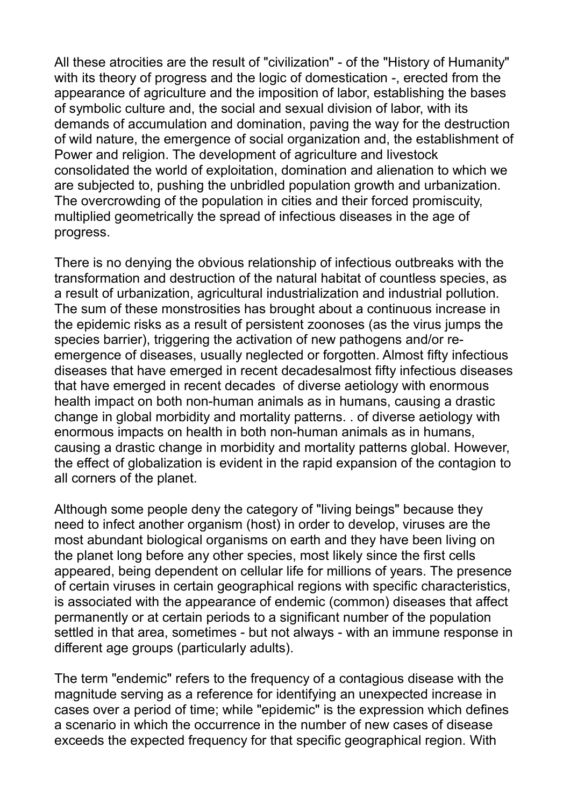All these atrocities are the result of "civilization" - of the "History of Humanity" with its theory of progress and the logic of domestication -, erected from the appearance of agriculture and the imposition of labor, establishing the bases of symbolic culture and, the social and sexual division of labor, with its demands of accumulation and domination, paving the way for the destruction of wild nature, the emergence of social organization and, the establishment of Power and religion. The development of agriculture and livestock consolidated the world of exploitation, domination and alienation to which we are subjected to, pushing the unbridled population growth and urbanization. The overcrowding of the population in cities and their forced promiscuity, multiplied geometrically the spread of infectious diseases in the age of progress.

There is no denying the obvious relationship of infectious outbreaks with the transformation and destruction of the natural habitat of countless species, as a result of urbanization, agricultural industrialization and industrial pollution. The sum of these monstrosities has brought about a continuous increase in the epidemic risks as a result of persistent zoonoses (as the virus jumps the species barrier), triggering the activation of new pathogens and/or reemergence of diseases, usually neglected or forgotten. Almost fifty infectious diseases that have emerged in recent decadesalmost fifty infectious diseases that have emerged in recent decades of diverse aetiology with enormous health impact on both non-human animals as in humans, causing a drastic change in global morbidity and mortality patterns. . of diverse aetiology with enormous impacts on health in both non-human animals as in humans, causing a drastic change in morbidity and mortality patterns global. However, the effect of globalization is evident in the rapid expansion of the contagion to all corners of the planet.

Although some people deny the category of "living beings" because they need to infect another organism (host) in order to develop, viruses are the most abundant biological organisms on earth and they have been living on the planet long before any other species, most likely since the first cells appeared, being dependent on cellular life for millions of years. The presence of certain viruses in certain geographical regions with specific characteristics, is associated with the appearance of endemic (common) diseases that affect permanently or at certain periods to a significant number of the population settled in that area, sometimes - but not always - with an immune response in different age groups (particularly adults).

The term "endemic" refers to the frequency of a contagious disease with the magnitude serving as a reference for identifying an unexpected increase in cases over a period of time; while "epidemic" is the expression which defines a scenario in which the occurrence in the number of new cases of disease exceeds the expected frequency for that specific geographical region. With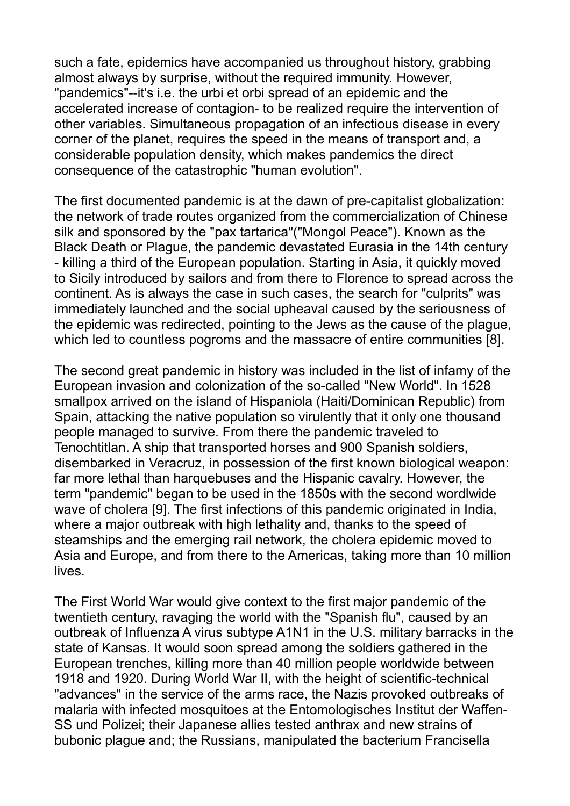such a fate, epidemics have accompanied us throughout history, grabbing almost always by surprise, without the required immunity. However, "pandemics"--it's i.e. the urbi et orbi spread of an epidemic and the accelerated increase of contagion- to be realized require the intervention of other variables. Simultaneous propagation of an infectious disease in every corner of the planet, requires the speed in the means of transport and, a considerable population density, which makes pandemics the direct consequence of the catastrophic "human evolution".

The first documented pandemic is at the dawn of pre-capitalist globalization: the network of trade routes organized from the commercialization of Chinese silk and sponsored by the "pax tartarica"("Mongol Peace"). Known as the Black Death or Plague, the pandemic devastated Eurasia in the 14th century - killing a third of the European population. Starting in Asia, it quickly moved to Sicily introduced by sailors and from there to Florence to spread across the continent. As is always the case in such cases, the search for "culprits" was immediately launched and the social upheaval caused by the seriousness of the epidemic was redirected, pointing to the Jews as the cause of the plague, which led to countless pogroms and the massacre of entire communities [8].

The second great pandemic in history was included in the list of infamy of the European invasion and colonization of the so-called "New World". In 1528 smallpox arrived on the island of Hispaniola (Haiti/Dominican Republic) from Spain, attacking the native population so virulently that it only one thousand people managed to survive. From there the pandemic traveled to Tenochtitlan. A ship that transported horses and 900 Spanish soldiers, disembarked in Veracruz, in possession of the first known biological weapon: far more lethal than harquebuses and the Hispanic cavalry. However, the term "pandemic" began to be used in the 1850s with the second wordlwide wave of cholera [9]. The first infections of this pandemic originated in India, where a major outbreak with high lethality and, thanks to the speed of steamships and the emerging rail network, the cholera epidemic moved to Asia and Europe, and from there to the Americas, taking more than 10 million lives.

The First World War would give context to the first major pandemic of the twentieth century, ravaging the world with the "Spanish flu", caused by an outbreak of Influenza A virus subtype A1N1 in the U.S. military barracks in the state of Kansas. It would soon spread among the soldiers gathered in the European trenches, killing more than 40 million people worldwide between 1918 and 1920. During World War II, with the height of scientific-technical "advances" in the service of the arms race, the Nazis provoked outbreaks of malaria with infected mosquitoes at the Entomologisches Institut der Waffen-SS und Polizei; their Japanese allies tested anthrax and new strains of bubonic plague and; the Russians, manipulated the bacterium Francisella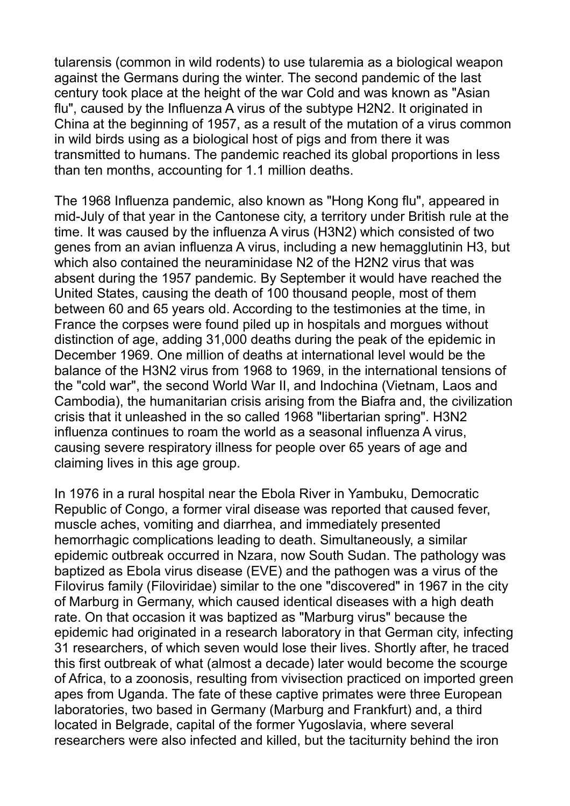tularensis (common in wild rodents) to use tularemia as a biological weapon against the Germans during the winter. The second pandemic of the last century took place at the height of the war Cold and was known as "Asian flu", caused by the Influenza A virus of the subtype H2N2. It originated in China at the beginning of 1957, as a result of the mutation of a virus common in wild birds using as a biological host of pigs and from there it was transmitted to humans. The pandemic reached its global proportions in less than ten months, accounting for 1.1 million deaths.

The 1968 Influenza pandemic, also known as "Hong Kong flu", appeared in mid-July of that year in the Cantonese city, a territory under British rule at the time. It was caused by the influenza A virus (H3N2) which consisted of two genes from an avian influenza A virus, including a new hemagglutinin H3, but which also contained the neuraminidase N2 of the H2N2 virus that was absent during the 1957 pandemic. By September it would have reached the United States, causing the death of 100 thousand people, most of them between 60 and 65 years old. According to the testimonies at the time, in France the corpses were found piled up in hospitals and morgues without distinction of age, adding 31,000 deaths during the peak of the epidemic in December 1969. One million of deaths at international level would be the balance of the H3N2 virus from 1968 to 1969, in the international tensions of the "cold war", the second World War II, and Indochina (Vietnam, Laos and Cambodia), the humanitarian crisis arising from the Biafra and, the civilization crisis that it unleashed in the so called 1968 "libertarian spring". H3N2 influenza continues to roam the world as a seasonal influenza A virus, causing severe respiratory illness for people over 65 years of age and claiming lives in this age group.

In 1976 in a rural hospital near the Ebola River in Yambuku, Democratic Republic of Congo, a former viral disease was reported that caused fever, muscle aches, vomiting and diarrhea, and immediately presented hemorrhagic complications leading to death. Simultaneously, a similar epidemic outbreak occurred in Nzara, now South Sudan. The pathology was baptized as Ebola virus disease (EVE) and the pathogen was a virus of the Filovirus family (Filoviridae) similar to the one "discovered" in 1967 in the city of Marburg in Germany, which caused identical diseases with a high death rate. On that occasion it was baptized as "Marburg virus" because the epidemic had originated in a research laboratory in that German city, infecting 31 researchers, of which seven would lose their lives. Shortly after, he traced this first outbreak of what (almost a decade) later would become the scourge of Africa, to a zoonosis, resulting from vivisection practiced on imported green apes from Uganda. The fate of these captive primates were three European laboratories, two based in Germany (Marburg and Frankfurt) and, a third located in Belgrade, capital of the former Yugoslavia, where several researchers were also infected and killed, but the taciturnity behind the iron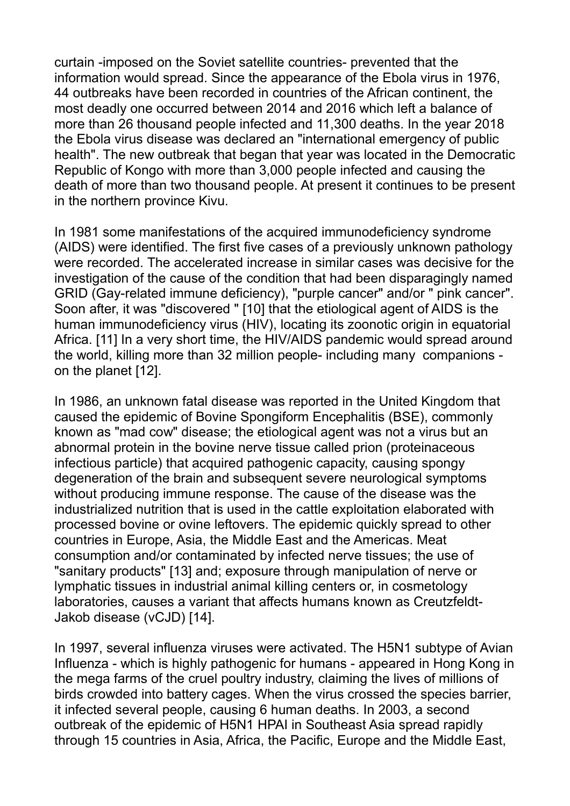curtain -imposed on the Soviet satellite countries- prevented that the information would spread. Since the appearance of the Ebola virus in 1976, 44 outbreaks have been recorded in countries of the African continent, the most deadly one occurred between 2014 and 2016 which left a balance of more than 26 thousand people infected and 11,300 deaths. In the year 2018 the Ebola virus disease was declared an "international emergency of public health". The new outbreak that began that year was located in the Democratic Republic of Kongo with more than 3,000 people infected and causing the death of more than two thousand people. At present it continues to be present in the northern province Kivu.

In 1981 some manifestations of the acquired immunodeficiency syndrome (AIDS) were identified. The first five cases of a previously unknown pathology were recorded. The accelerated increase in similar cases was decisive for the investigation of the cause of the condition that had been disparagingly named GRID (Gay-related immune deficiency), "purple cancer" and/or " pink cancer". Soon after, it was "discovered " [10] that the etiological agent of AIDS is the human immunodeficiency virus (HIV), locating its zoonotic origin in equatorial Africa. [11] In a very short time, the HIV/AIDS pandemic would spread around the world, killing more than 32 million people- including many companions on the planet [12].

In 1986, an unknown fatal disease was reported in the United Kingdom that caused the epidemic of Bovine Spongiform Encephalitis (BSE), commonly known as "mad cow" disease; the etiological agent was not a virus but an abnormal protein in the bovine nerve tissue called prion (proteinaceous infectious particle) that acquired pathogenic capacity, causing spongy degeneration of the brain and subsequent severe neurological symptoms without producing immune response. The cause of the disease was the industrialized nutrition that is used in the cattle exploitation elaborated with processed bovine or ovine leftovers. The epidemic quickly spread to other countries in Europe, Asia, the Middle East and the Americas. Meat consumption and/or contaminated by infected nerve tissues; the use of "sanitary products" [13] and; exposure through manipulation of nerve or lymphatic tissues in industrial animal killing centers or, in cosmetology laboratories, causes a variant that affects humans known as Creutzfeldt-Jakob disease (vCJD) [14].

In 1997, several influenza viruses were activated. The H5N1 subtype of Avian Influenza - which is highly pathogenic for humans - appeared in Hong Kong in the mega farms of the cruel poultry industry, claiming the lives of millions of birds crowded into battery cages. When the virus crossed the species barrier, it infected several people, causing 6 human deaths. In 2003, a second outbreak of the epidemic of H5N1 HPAI in Southeast Asia spread rapidly through 15 countries in Asia, Africa, the Pacific, Europe and the Middle East,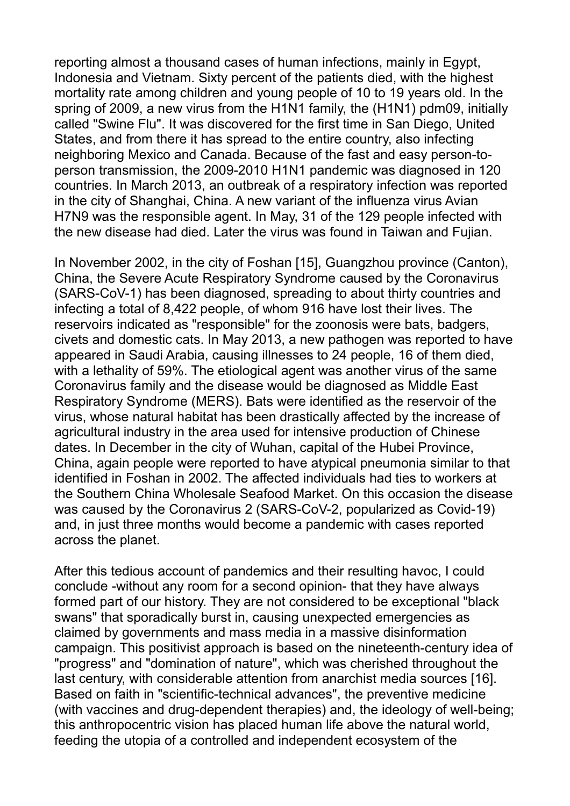reporting almost a thousand cases of human infections, mainly in Egypt, Indonesia and Vietnam. Sixty percent of the patients died, with the highest mortality rate among children and young people of 10 to 19 years old. In the spring of 2009, a new virus from the H1N1 family, the (H1N1) pdm09, initially called "Swine Flu". It was discovered for the first time in San Diego, United States, and from there it has spread to the entire country, also infecting neighboring Mexico and Canada. Because of the fast and easy person-toperson transmission, the 2009-2010 H1N1 pandemic was diagnosed in 120 countries. In March 2013, an outbreak of a respiratory infection was reported in the city of Shanghai, China. A new variant of the influenza virus Avian H7N9 was the responsible agent. In May, 31 of the 129 people infected with the new disease had died. Later the virus was found in Taiwan and Fujian.

In November 2002, in the city of Foshan [15], Guangzhou province (Canton), China, the Severe Acute Respiratory Syndrome caused by the Coronavirus (SARS-CoV-1) has been diagnosed, spreading to about thirty countries and infecting a total of 8,422 people, of whom 916 have lost their lives. The reservoirs indicated as "responsible" for the zoonosis were bats, badgers, civets and domestic cats. In May 2013, a new pathogen was reported to have appeared in Saudi Arabia, causing illnesses to 24 people, 16 of them died, with a lethality of 59%. The etiological agent was another virus of the same Coronavirus family and the disease would be diagnosed as Middle East Respiratory Syndrome (MERS). Bats were identified as the reservoir of the virus, whose natural habitat has been drastically affected by the increase of agricultural industry in the area used for intensive production of Chinese dates. In December in the city of Wuhan, capital of the Hubei Province, China, again people were reported to have atypical pneumonia similar to that identified in Foshan in 2002. The affected individuals had ties to workers at the Southern China Wholesale Seafood Market. On this occasion the disease was caused by the Coronavirus 2 (SARS-CoV-2, popularized as Covid-19) and, in just three months would become a pandemic with cases reported across the planet.

After this tedious account of pandemics and their resulting havoc, I could conclude -without any room for a second opinion- that they have always formed part of our history. They are not considered to be exceptional "black swans" that sporadically burst in, causing unexpected emergencies as claimed by governments and mass media in a massive disinformation campaign. This positivist approach is based on the nineteenth-century idea of "progress" and "domination of nature", which was cherished throughout the last century, with considerable attention from anarchist media sources [16]. Based on faith in "scientific-technical advances", the preventive medicine (with vaccines and drug-dependent therapies) and, the ideology of well-being; this anthropocentric vision has placed human life above the natural world, feeding the utopia of a controlled and independent ecosystem of the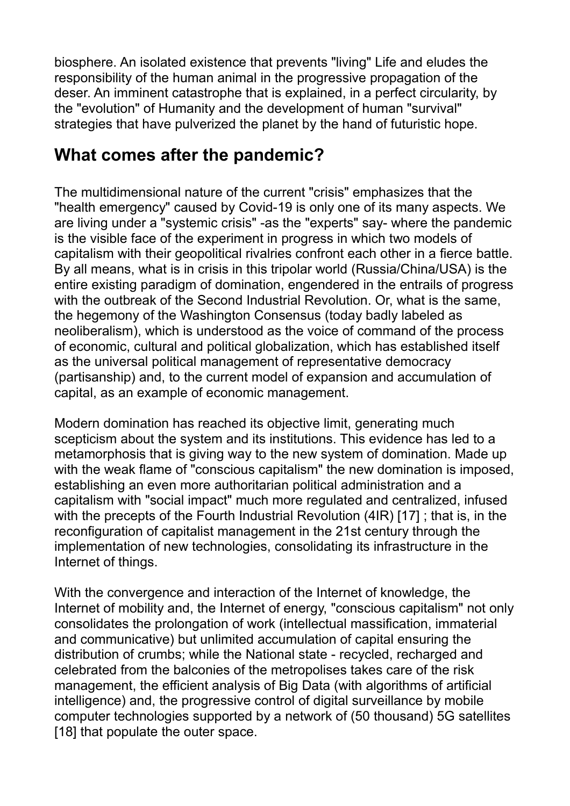biosphere. An isolated existence that prevents "living" Life and eludes the responsibility of the human animal in the progressive propagation of the deser. An imminent catastrophe that is explained, in a perfect circularity, by the "evolution" of Humanity and the development of human "survival" strategies that have pulverized the planet by the hand of futuristic hope.

### **What comes after the pandemic?**

The multidimensional nature of the current "crisis" emphasizes that the "health emergency" caused by Covid-19 is only one of its many aspects. We are living under a "systemic crisis" -as the "experts" say- where the pandemic is the visible face of the experiment in progress in which two models of capitalism with their geopolitical rivalries confront each other in a fierce battle. By all means, what is in crisis in this tripolar world (Russia/China/USA) is the entire existing paradigm of domination, engendered in the entrails of progress with the outbreak of the Second Industrial Revolution. Or, what is the same, the hegemony of the Washington Consensus (today badly labeled as neoliberalism), which is understood as the voice of command of the process of economic, cultural and political globalization, which has established itself as the universal political management of representative democracy (partisanship) and, to the current model of expansion and accumulation of capital, as an example of economic management.

Modern domination has reached its objective limit, generating much scepticism about the system and its institutions. This evidence has led to a metamorphosis that is giving way to the new system of domination. Made up with the weak flame of "conscious capitalism" the new domination is imposed, establishing an even more authoritarian political administration and a capitalism with "social impact" much more regulated and centralized, infused with the precepts of the Fourth Industrial Revolution (4IR) [17]; that is, in the reconfiguration of capitalist management in the 21st century through the implementation of new technologies, consolidating its infrastructure in the Internet of things.

With the convergence and interaction of the Internet of knowledge, the Internet of mobility and, the Internet of energy, "conscious capitalism" not only consolidates the prolongation of work (intellectual massification, immaterial and communicative) but unlimited accumulation of capital ensuring the distribution of crumbs; while the National state - recycled, recharged and celebrated from the balconies of the metropolises takes care of the risk management, the efficient analysis of Big Data (with algorithms of artificial intelligence) and, the progressive control of digital surveillance by mobile computer technologies supported by a network of (50 thousand) 5G satellites [18] that populate the outer space.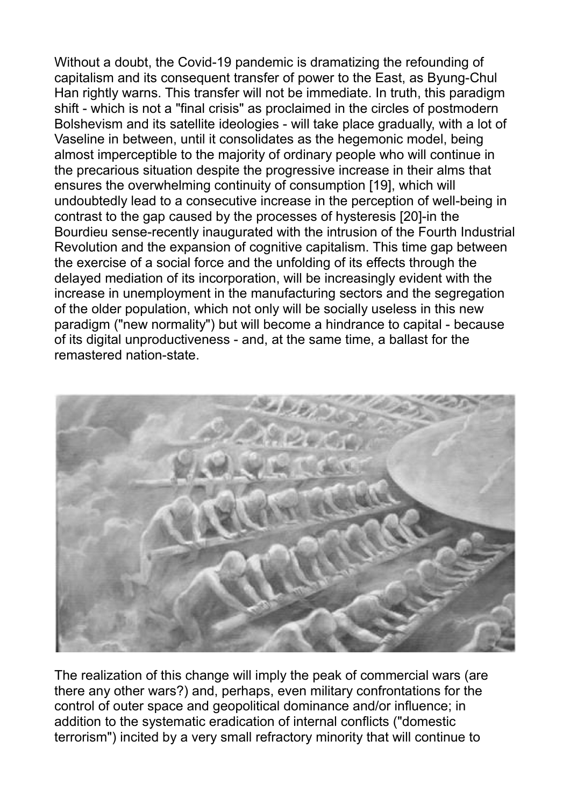Without a doubt, the Covid-19 pandemic is dramatizing the refounding of capitalism and its consequent transfer of power to the East, as Byung-Chul Han rightly warns. This transfer will not be immediate. In truth, this paradigm shift - which is not a "final crisis" as proclaimed in the circles of postmodern Bolshevism and its satellite ideologies - will take place gradually, with a lot of Vaseline in between, until it consolidates as the hegemonic model, being almost imperceptible to the majority of ordinary people who will continue in the precarious situation despite the progressive increase in their alms that ensures the overwhelming continuity of consumption [19], which will undoubtedly lead to a consecutive increase in the perception of well-being in contrast to the gap caused by the processes of hysteresis [20]-in the Bourdieu sense-recently inaugurated with the intrusion of the Fourth Industrial Revolution and the expansion of cognitive capitalism. This time gap between the exercise of a social force and the unfolding of its effects through the delayed mediation of its incorporation, will be increasingly evident with the increase in unemployment in the manufacturing sectors and the segregation of the older population, which not only will be socially useless in this new paradigm ("new normality") but will become a hindrance to capital - because of its digital unproductiveness - and, at the same time, a ballast for the remastered nation-state.



The realization of this change will imply the peak of commercial wars (are there any other wars?) and, perhaps, even military confrontations for the control of outer space and geopolitical dominance and/or influence; in addition to the systematic eradication of internal conflicts ("domestic terrorism") incited by a very small refractory minority that will continue to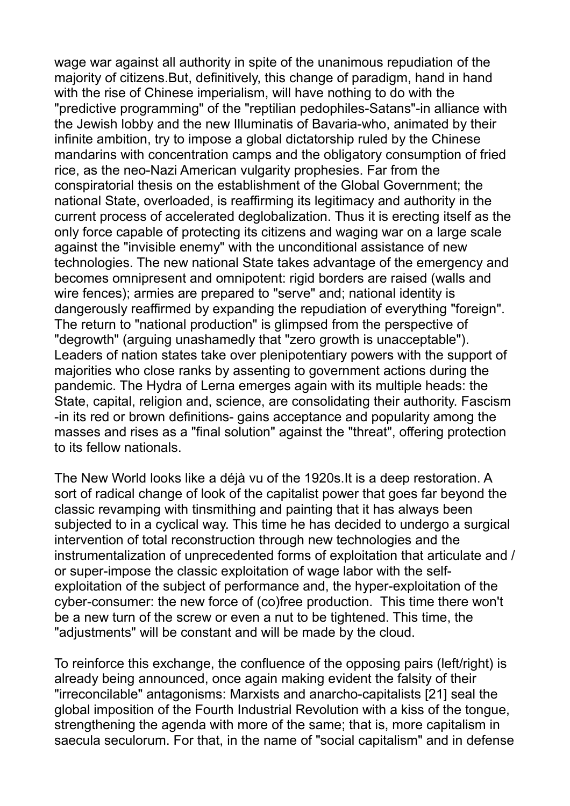wage war against all authority in spite of the unanimous repudiation of the majority of citizens.But, definitively, this change of paradigm, hand in hand with the rise of Chinese imperialism, will have nothing to do with the "predictive programming" of the "reptilian pedophiles-Satans"-in alliance with the Jewish lobby and the new Illuminatis of Bavaria-who, animated by their infinite ambition, try to impose a global dictatorship ruled by the Chinese mandarins with concentration camps and the obligatory consumption of fried rice, as the neo-Nazi American vulgarity prophesies. Far from the conspiratorial thesis on the establishment of the Global Government; the national State, overloaded, is reaffirming its legitimacy and authority in the current process of accelerated deglobalization. Thus it is erecting itself as the only force capable of protecting its citizens and waging war on a large scale against the "invisible enemy" with the unconditional assistance of new technologies. The new national State takes advantage of the emergency and becomes omnipresent and omnipotent: rigid borders are raised (walls and wire fences); armies are prepared to "serve" and; national identity is dangerously reaffirmed by expanding the repudiation of everything "foreign". The return to "national production" is glimpsed from the perspective of "degrowth" (arguing unashamedly that "zero growth is unacceptable"). Leaders of nation states take over plenipotentiary powers with the support of majorities who close ranks by assenting to government actions during the pandemic. The Hydra of Lerna emerges again with its multiple heads: the State, capital, religion and, science, are consolidating their authority. Fascism -in its red or brown definitions- gains acceptance and popularity among the masses and rises as a "final solution" against the "threat", offering protection to its fellow nationals.

The New World looks like a déjà vu of the 1920s.It is a deep restoration. A sort of radical change of look of the capitalist power that goes far beyond the classic revamping with tinsmithing and painting that it has always been subjected to in a cyclical way. This time he has decided to undergo a surgical intervention of total reconstruction through new technologies and the instrumentalization of unprecedented forms of exploitation that articulate and / or super-impose the classic exploitation of wage labor with the selfexploitation of the subject of performance and, the hyper-exploitation of the cyber-consumer: the new force of (co)free production. This time there won't be a new turn of the screw or even a nut to be tightened. This time, the "adjustments" will be constant and will be made by the cloud.

To reinforce this exchange, the confluence of the opposing pairs (left/right) is already being announced, once again making evident the falsity of their "irreconcilable" antagonisms: Marxists and anarcho-capitalists [21] seal the global imposition of the Fourth Industrial Revolution with a kiss of the tongue, strengthening the agenda with more of the same; that is, more capitalism in saecula seculorum. For that, in the name of "social capitalism" and in defense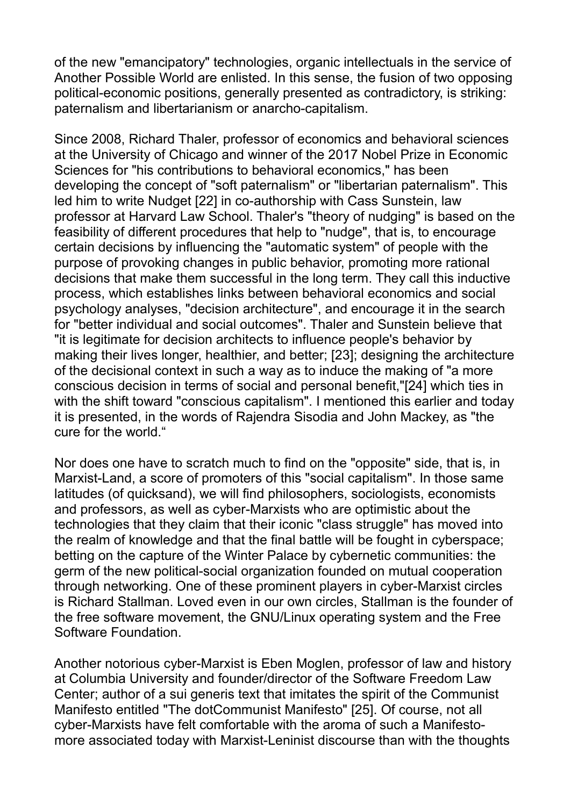of the new "emancipatory" technologies, organic intellectuals in the service of Another Possible World are enlisted. In this sense, the fusion of two opposing political-economic positions, generally presented as contradictory, is striking: paternalism and libertarianism or anarcho-capitalism.

Since 2008, Richard Thaler, professor of economics and behavioral sciences at the University of Chicago and winner of the 2017 Nobel Prize in Economic Sciences for "his contributions to behavioral economics," has been developing the concept of "soft paternalism" or "libertarian paternalism". This led him to write Nudget [22] in co-authorship with Cass Sunstein, law professor at Harvard Law School. Thaler's "theory of nudging" is based on the feasibility of different procedures that help to "nudge", that is, to encourage certain decisions by influencing the "automatic system" of people with the purpose of provoking changes in public behavior, promoting more rational decisions that make them successful in the long term. They call this inductive process, which establishes links between behavioral economics and social psychology analyses, "decision architecture", and encourage it in the search for "better individual and social outcomes". Thaler and Sunstein believe that "it is legitimate for decision architects to influence people's behavior by making their lives longer, healthier, and better; [23]; designing the architecture of the decisional context in such a way as to induce the making of "a more conscious decision in terms of social and personal benefit,"[24] which ties in with the shift toward "conscious capitalism". I mentioned this earlier and today it is presented, in the words of Rajendra Sisodia and John Mackey, as "the cure for the world."

Nor does one have to scratch much to find on the "opposite" side, that is, in Marxist-Land, a score of promoters of this "social capitalism". In those same latitudes (of quicksand), we will find philosophers, sociologists, economists and professors, as well as cyber-Marxists who are optimistic about the technologies that they claim that their iconic "class struggle" has moved into the realm of knowledge and that the final battle will be fought in cyberspace; betting on the capture of the Winter Palace by cybernetic communities: the germ of the new political-social organization founded on mutual cooperation through networking. One of these prominent players in cyber-Marxist circles is Richard Stallman. Loved even in our own circles, Stallman is the founder of the free software movement, the GNU/Linux operating system and the Free Software Foundation.

Another notorious cyber-Marxist is Eben Moglen, professor of law and history at Columbia University and founder/director of the Software Freedom Law Center; author of a sui generis text that imitates the spirit of the Communist Manifesto entitled "The dotCommunist Manifesto" [25]. Of course, not all cyber-Marxists have felt comfortable with the aroma of such a Manifestomore associated today with Marxist-Leninist discourse than with the thoughts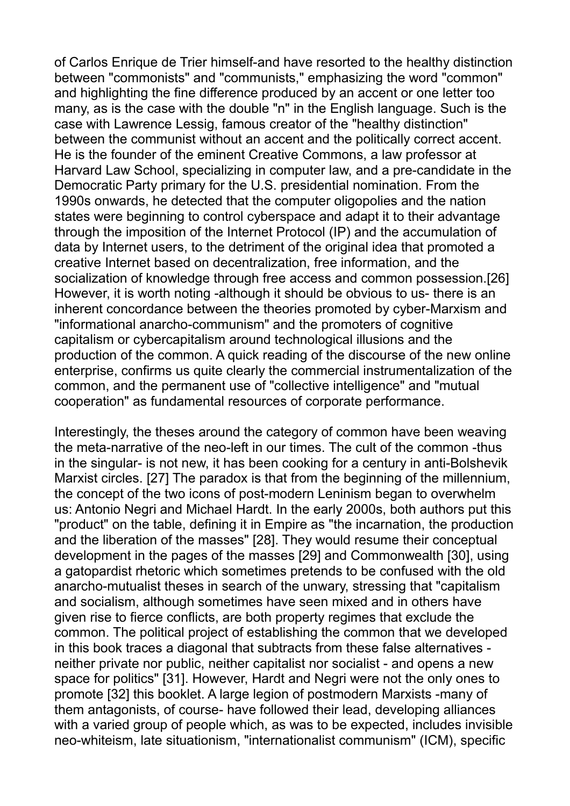of Carlos Enrique de Trier himself-and have resorted to the healthy distinction between "commonists" and "communists," emphasizing the word "common" and highlighting the fine difference produced by an accent or one letter too many, as is the case with the double "n" in the English language. Such is the case with Lawrence Lessig, famous creator of the "healthy distinction" between the communist without an accent and the politically correct accent. He is the founder of the eminent Creative Commons, a law professor at Harvard Law School, specializing in computer law, and a pre-candidate in the Democratic Party primary for the U.S. presidential nomination. From the 1990s onwards, he detected that the computer oligopolies and the nation states were beginning to control cyberspace and adapt it to their advantage through the imposition of the Internet Protocol (IP) and the accumulation of data by Internet users, to the detriment of the original idea that promoted a creative Internet based on decentralization, free information, and the socialization of knowledge through free access and common possession.[26] However, it is worth noting -although it should be obvious to us- there is an inherent concordance between the theories promoted by cyber-Marxism and "informational anarcho-communism" and the promoters of cognitive capitalism or cybercapitalism around technological illusions and the production of the common. A quick reading of the discourse of the new online enterprise, confirms us quite clearly the commercial instrumentalization of the common, and the permanent use of "collective intelligence" and "mutual cooperation" as fundamental resources of corporate performance.

Interestingly, the theses around the category of common have been weaving the meta-narrative of the neo-left in our times. The cult of the common -thus in the singular- is not new, it has been cooking for a century in anti-Bolshevik Marxist circles. [27] The paradox is that from the beginning of the millennium, the concept of the two icons of post-modern Leninism began to overwhelm us: Antonio Negri and Michael Hardt. In the early 2000s, both authors put this "product" on the table, defining it in Empire as "the incarnation, the production and the liberation of the masses" [28]. They would resume their conceptual development in the pages of the masses [29] and Commonwealth [30], using a gatopardist rhetoric which sometimes pretends to be confused with the old anarcho-mutualist theses in search of the unwary, stressing that "capitalism and socialism, although sometimes have seen mixed and in others have given rise to fierce conflicts, are both property regimes that exclude the common. The political project of establishing the common that we developed in this book traces a diagonal that subtracts from these false alternatives neither private nor public, neither capitalist nor socialist - and opens a new space for politics" [31]. However, Hardt and Negri were not the only ones to promote [32] this booklet. A large legion of postmodern Marxists -many of them antagonists, of course- have followed their lead, developing alliances with a varied group of people which, as was to be expected, includes invisible neo-whiteism, late situationism, "internationalist communism" (ICM), specific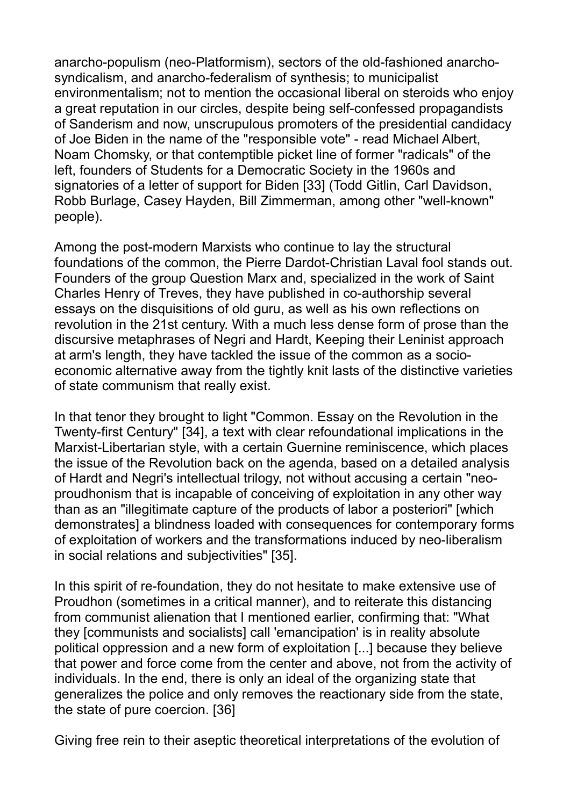anarcho-populism (neo-Platformism), sectors of the old-fashioned anarchosyndicalism, and anarcho-federalism of synthesis; to municipalist environmentalism; not to mention the occasional liberal on steroids who enjoy a great reputation in our circles, despite being self-confessed propagandists of Sanderism and now, unscrupulous promoters of the presidential candidacy of Joe Biden in the name of the "responsible vote" - read Michael Albert, Noam Chomsky, or that contemptible picket line of former "radicals" of the left, founders of Students for a Democratic Society in the 1960s and signatories of a letter of support for Biden [33] (Todd Gitlin, Carl Davidson, Robb Burlage, Casey Hayden, Bill Zimmerman, among other "well-known" people).

Among the post-modern Marxists who continue to lay the structural foundations of the common, the Pierre Dardot-Christian Laval fool stands out. Founders of the group Question Marx and, specialized in the work of Saint Charles Henry of Treves, they have published in co-authorship several essays on the disquisitions of old guru, as well as his own reflections on revolution in the 21st century. With a much less dense form of prose than the discursive metaphrases of Negri and Hardt, Keeping their Leninist approach at arm's length, they have tackled the issue of the common as a socioeconomic alternative away from the tightly knit lasts of the distinctive varieties of state communism that really exist.

In that tenor they brought to light "Common. Essay on the Revolution in the Twenty-first Century" [34], a text with clear refoundational implications in the Marxist-Libertarian style, with a certain Guernine reminiscence, which places the issue of the Revolution back on the agenda, based on a detailed analysis of Hardt and Negri's intellectual trilogy, not without accusing a certain "neoproudhonism that is incapable of conceiving of exploitation in any other way than as an "illegitimate capture of the products of labor a posteriori" [which demonstrates] a blindness loaded with consequences for contemporary forms of exploitation of workers and the transformations induced by neo-liberalism in social relations and subjectivities" [35].

In this spirit of re-foundation, they do not hesitate to make extensive use of Proudhon (sometimes in a critical manner), and to reiterate this distancing from communist alienation that I mentioned earlier, confirming that: "What they [communists and socialists] call 'emancipation' is in reality absolute political oppression and a new form of exploitation [...] because they believe that power and force come from the center and above, not from the activity of individuals. In the end, there is only an ideal of the organizing state that generalizes the police and only removes the reactionary side from the state, the state of pure coercion. [36]

Giving free rein to their aseptic theoretical interpretations of the evolution of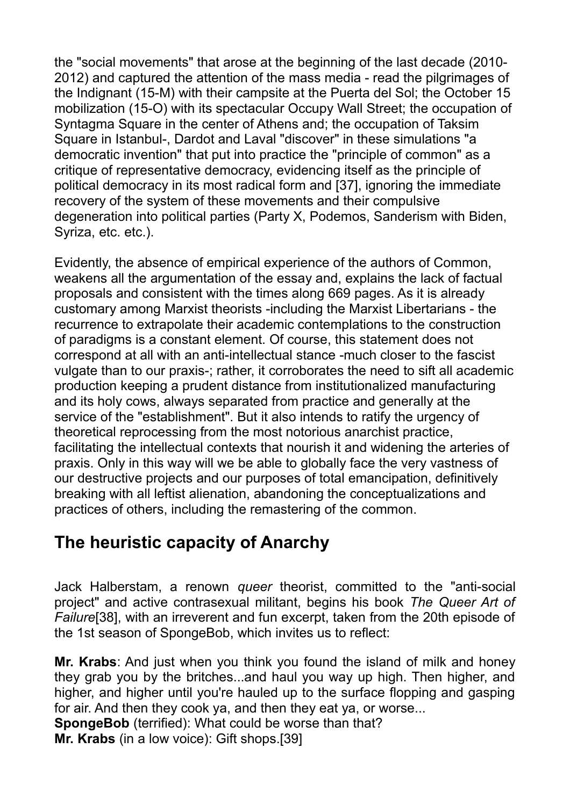the "social movements" that arose at the beginning of the last decade (2010- 2012) and captured the attention of the mass media - read the pilgrimages of the Indignant (15-M) with their campsite at the Puerta del Sol; the October 15 mobilization (15-O) with its spectacular Occupy Wall Street; the occupation of Syntagma Square in the center of Athens and; the occupation of Taksim Square in Istanbul-, Dardot and Laval "discover" in these simulations "a democratic invention" that put into practice the "principle of common" as a critique of representative democracy, evidencing itself as the principle of political democracy in its most radical form and [37], ignoring the immediate recovery of the system of these movements and their compulsive degeneration into political parties (Party X, Podemos, Sanderism with Biden, Syriza, etc. etc.).

Evidently, the absence of empirical experience of the authors of Common, weakens all the argumentation of the essay and, explains the lack of factual proposals and consistent with the times along 669 pages. As it is already customary among Marxist theorists -including the Marxist Libertarians - the recurrence to extrapolate their academic contemplations to the construction of paradigms is a constant element. Of course, this statement does not correspond at all with an anti-intellectual stance -much closer to the fascist vulgate than to our praxis-; rather, it corroborates the need to sift all academic production keeping a prudent distance from institutionalized manufacturing and its holy cows, always separated from practice and generally at the service of the "establishment". But it also intends to ratify the urgency of theoretical reprocessing from the most notorious anarchist practice, facilitating the intellectual contexts that nourish it and widening the arteries of praxis. Only in this way will we be able to globally face the very vastness of our destructive projects and our purposes of total emancipation, definitively breaking with all leftist alienation, abandoning the conceptualizations and practices of others, including the remastering of the common.

### **The heuristic capacity of Anarchy**

Jack Halberstam, a renown *queer* theorist, committed to the "anti-social project" and active contrasexual militant, begins his book *The Queer Art of Failure*[38], with an irreverent and fun excerpt, taken from the 20th episode of the 1st season of SpongeBob, which invites us to reflect:

**Mr. Krabs**: And just when you think you found the island of milk and honey they grab you by the britches...and haul you way up high. Then higher, and higher, and higher until you're hauled up to the surface flopping and gasping for air. And then they cook ya, and then they eat ya, or worse... **SpongeBob** (terrified): What could be worse than that? **Mr. Krabs** (in a low voice): Gift shops.[39]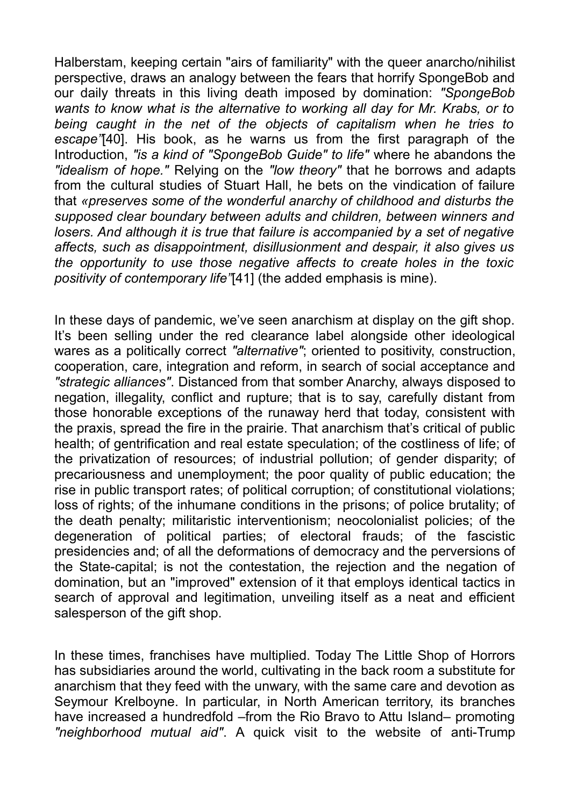Halberstam, keeping certain "airs of familiarity" with the queer anarcho/nihilist perspective, draws an analogy between the fears that horrify SpongeBob and our daily threats in this living death imposed by domination: *"SpongeBob wants to know what is the alternative to working all day for Mr. Krabs, or to being caught in the net of the objects of capitalism when he tries to escape"*[40]. His book, as he warns us from the first paragraph of the Introduction, *"is a kind of "SpongeBob Guide" to life"* where he abandons the *"idealism of hope."* Relying on the *"low theory"* that he borrows and adapts from the cultural studies of Stuart Hall, he bets on the vindication of failure that *«preserves some of the wonderful anarchy of childhood and disturbs the supposed clear boundary between adults and children, between winners and losers. And although it is true that failure is accompanied by a set of negative affects, such as disappointment, disillusionment and despair, it also gives us the opportunity to use those negative affects to create holes in the toxic positivity of contemporary life"*[41] (the added emphasis is mine).

In these days of pandemic, we've seen anarchism at display on the gift shop. It's been selling under the red clearance label alongside other ideological wares as a politically correct *"alternative"*; oriented to positivity, construction, cooperation, care, integration and reform, in search of social acceptance and *"strategic alliances"*. Distanced from that somber Anarchy, always disposed to negation, illegality, conflict and rupture; that is to say, carefully distant from those honorable exceptions of the runaway herd that today, consistent with the praxis, spread the fire in the prairie. That anarchism that's critical of public health; of gentrification and real estate speculation; of the costliness of life; of the privatization of resources; of industrial pollution; of gender disparity; of precariousness and unemployment; the poor quality of public education; the rise in public transport rates; of political corruption; of constitutional violations; loss of rights; of the inhumane conditions in the prisons; of police brutality; of the death penalty; militaristic interventionism; neocolonialist policies; of the degeneration of political parties; of electoral frauds; of the fascistic presidencies and; of all the deformations of democracy and the perversions of the State-capital; is not the contestation, the rejection and the negation of domination, but an "improved" extension of it that employs identical tactics in search of approval and legitimation, unveiling itself as a neat and efficient salesperson of the gift shop.

In these times, franchises have multiplied. Today The Little Shop of Horrors has subsidiaries around the world, cultivating in the back room a substitute for anarchism that they feed with the unwary, with the same care and devotion as Seymour Krelboyne. In particular, in North American territory, its branches have increased a hundredfold –from the Rio Bravo to Attu Island– promoting *"neighborhood mutual aid"*. A quick visit to the website of anti-Trump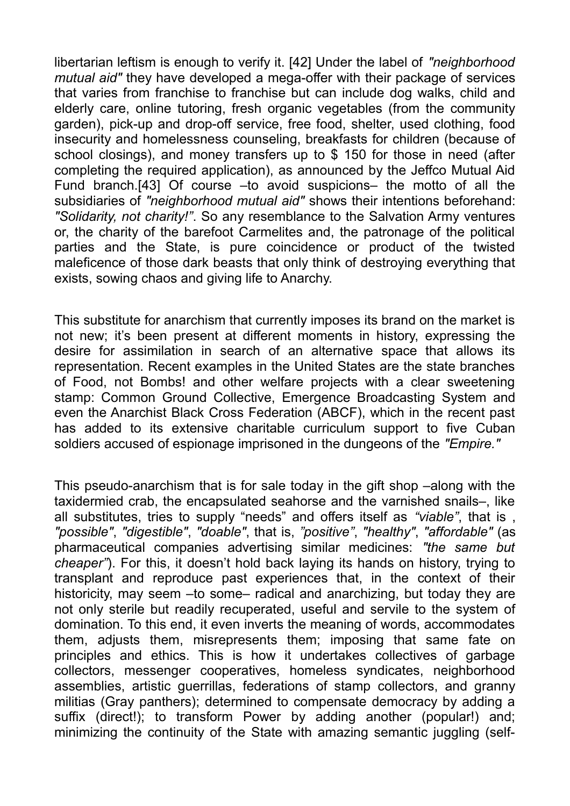libertarian leftism is enough to verify it. [42] Under the label of *"neighborhood mutual aid"* they have developed a mega-offer with their package of services that varies from franchise to franchise but can include dog walks, child and elderly care, online tutoring, fresh organic vegetables (from the community garden), pick-up and drop-off service, free food, shelter, used clothing, food insecurity and homelessness counseling, breakfasts for children (because of school closings), and money transfers up to \$ 150 for those in need (after completing the required application), as announced by the Jeffco Mutual Aid Fund branch.[43] Of course –to avoid suspicions– the motto of all the subsidiaries of *"neighborhood mutual aid"* shows their intentions beforehand: *"Solidarity, not charity!"*. So any resemblance to the Salvation Army ventures or, the charity of the barefoot Carmelites and, the patronage of the political parties and the State, is pure coincidence or product of the twisted maleficence of those dark beasts that only think of destroying everything that exists, sowing chaos and giving life to Anarchy.

This substitute for anarchism that currently imposes its brand on the market is not new; it's been present at different moments in history, expressing the desire for assimilation in search of an alternative space that allows its representation. Recent examples in the United States are the state branches of Food, not Bombs! and other welfare projects with a clear sweetening stamp: Common Ground Collective, Emergence Broadcasting System and even the Anarchist Black Cross Federation (ABCF), which in the recent past has added to its extensive charitable curriculum support to five Cuban soldiers accused of espionage imprisoned in the dungeons of the *"Empire."*

This pseudo-anarchism that is for sale today in the gift shop –along with the taxidermied crab, the encapsulated seahorse and the varnished snails–, like all substitutes, tries to supply "needs" and offers itself as *"viable"*, that is , *"possible"*, *"digestible"*, *"doable"*, that is, *"positive"*, *"healthy"*, *"affordable"* (as pharmaceutical companies advertising similar medicines: *"the same but cheaper"*). For this, it doesn't hold back laying its hands on history, trying to transplant and reproduce past experiences that, in the context of their historicity, may seem –to some– radical and anarchizing, but today they are not only sterile but readily recuperated, useful and servile to the system of domination. To this end, it even inverts the meaning of words, accommodates them, adjusts them, misrepresents them; imposing that same fate on principles and ethics. This is how it undertakes collectives of garbage collectors, messenger cooperatives, homeless syndicates, neighborhood assemblies, artistic guerrillas, federations of stamp collectors, and granny militias (Gray panthers); determined to compensate democracy by adding a suffix (direct!); to transform Power by adding another (popular!) and; minimizing the continuity of the State with amazing semantic juggling (self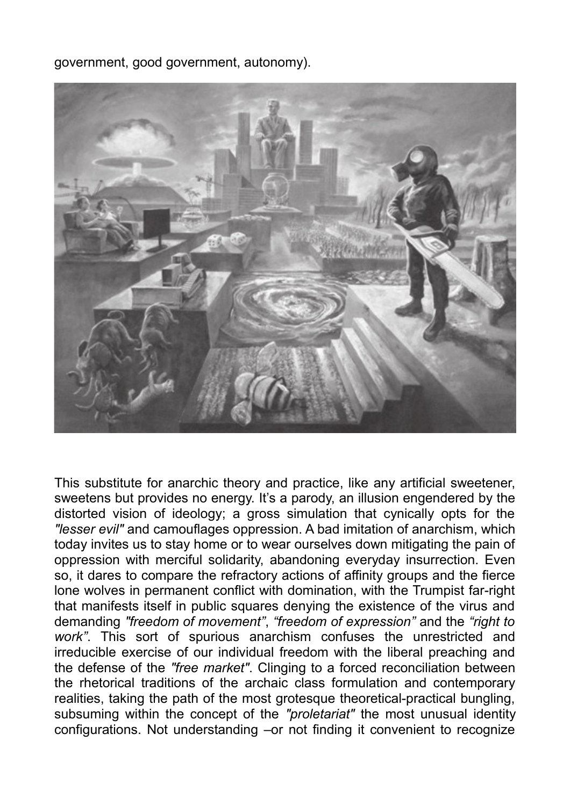government, good government, autonomy).



This substitute for anarchic theory and practice, like any artificial sweetener, sweetens but provides no energy. It's a parody, an illusion engendered by the distorted vision of ideology; a gross simulation that cynically opts for the *"lesser evil"* and camouflages oppression. A bad imitation of anarchism, which today invites us to stay home or to wear ourselves down mitigating the pain of oppression with merciful solidarity, abandoning everyday insurrection. Even so, it dares to compare the refractory actions of affinity groups and the fierce lone wolves in permanent conflict with domination, with the Trumpist far-right that manifests itself in public squares denying the existence of the virus and demanding *"freedom of movement"*, *"freedom of expression"* and the *"right to work"*. This sort of spurious anarchism confuses the unrestricted and irreducible exercise of our individual freedom with the liberal preaching and the defense of the *"free market"*. Clinging to a forced reconciliation between the rhetorical traditions of the archaic class formulation and contemporary realities, taking the path of the most grotesque theoretical-practical bungling, subsuming within the concept of the *"proletariat"* the most unusual identity configurations. Not understanding –or not finding it convenient to recognize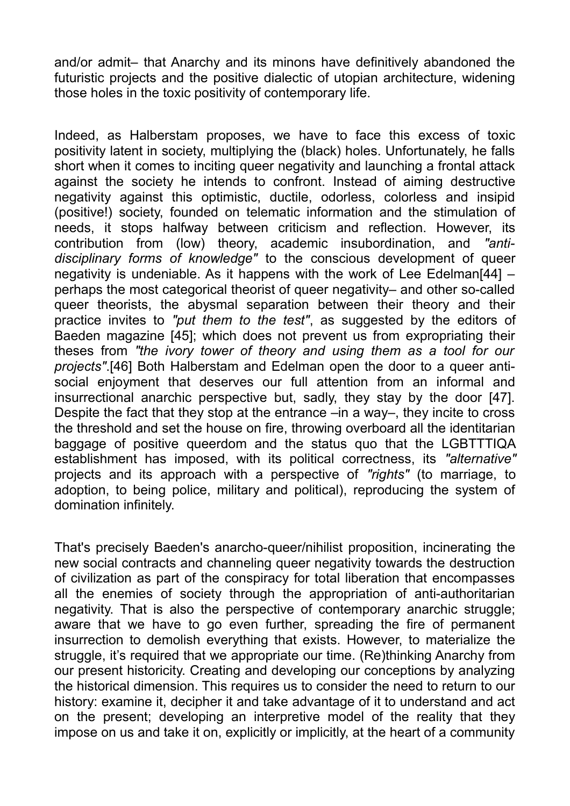and/or admit– that Anarchy and its minons have definitively abandoned the futuristic projects and the positive dialectic of utopian architecture, widening those holes in the toxic positivity of contemporary life.

Indeed, as Halberstam proposes, we have to face this excess of toxic positivity latent in society, multiplying the (black) holes. Unfortunately, he falls short when it comes to inciting queer negativity and launching a frontal attack against the society he intends to confront. Instead of aiming destructive negativity against this optimistic, ductile, odorless, colorless and insipid (positive!) society, founded on telematic information and the stimulation of needs, it stops halfway between criticism and reflection. However, its contribution from (low) theory, academic insubordination, and *"antidisciplinary forms of knowledge"* to the conscious development of queer negativity is undeniable. As it happens with the work of Lee Edelman[44] – perhaps the most categorical theorist of queer negativity– and other so-called queer theorists, the abysmal separation between their theory and their practice invites to *"put them to the test"*, as suggested by the editors of Baeden magazine [45]; which does not prevent us from expropriating their theses from *"the ivory tower of theory and using them as a tool for our projects"*.[46] Both Halberstam and Edelman open the door to a queer antisocial enjoyment that deserves our full attention from an informal and insurrectional anarchic perspective but, sadly, they stay by the door [47]. Despite the fact that they stop at the entrance –in a way–, they incite to cross the threshold and set the house on fire, throwing overboard all the identitarian baggage of positive queerdom and the status quo that the LGBTTTIQA establishment has imposed, with its political correctness, its *"alternative"* projects and its approach with a perspective of *"rights"* (to marriage, to adoption, to being police, military and political), reproducing the system of domination infinitely.

That's precisely Baeden's anarcho-queer/nihilist proposition, incinerating the new social contracts and channeling queer negativity towards the destruction of civilization as part of the conspiracy for total liberation that encompasses all the enemies of society through the appropriation of anti-authoritarian negativity. That is also the perspective of contemporary anarchic struggle; aware that we have to go even further, spreading the fire of permanent insurrection to demolish everything that exists. However, to materialize the struggle, it's required that we appropriate our time. (Re)thinking Anarchy from our present historicity. Creating and developing our conceptions by analyzing the historical dimension. This requires us to consider the need to return to our history: examine it, decipher it and take advantage of it to understand and act on the present; developing an interpretive model of the reality that they impose on us and take it on, explicitly or implicitly, at the heart of a community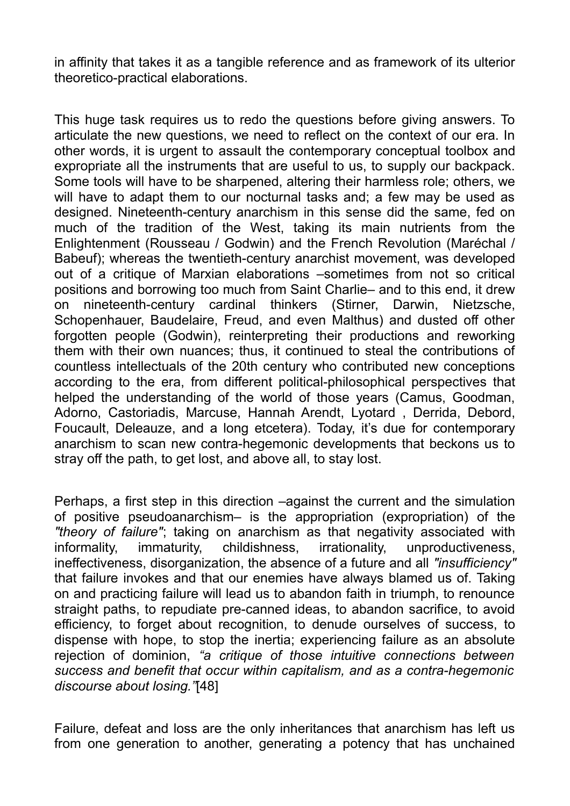in affinity that takes it as a tangible reference and as framework of its ulterior theoretico-practical elaborations.

This huge task requires us to redo the questions before giving answers. To articulate the new questions, we need to reflect on the context of our era. In other words, it is urgent to assault the contemporary conceptual toolbox and expropriate all the instruments that are useful to us, to supply our backpack. Some tools will have to be sharpened, altering their harmless role; others, we will have to adapt them to our nocturnal tasks and; a few may be used as designed. Nineteenth-century anarchism in this sense did the same, fed on much of the tradition of the West, taking its main nutrients from the Enlightenment (Rousseau / Godwin) and the French Revolution (Maréchal / Babeuf); whereas the twentieth-century anarchist movement, was developed out of a critique of Marxian elaborations –sometimes from not so critical positions and borrowing too much from Saint Charlie– and to this end, it drew on nineteenth-century cardinal thinkers (Stirner, Darwin, Nietzsche, Schopenhauer, Baudelaire, Freud, and even Malthus) and dusted off other forgotten people (Godwin), reinterpreting their productions and reworking them with their own nuances; thus, it continued to steal the contributions of countless intellectuals of the 20th century who contributed new conceptions according to the era, from different political-philosophical perspectives that helped the understanding of the world of those years (Camus, Goodman, Adorno, Castoriadis, Marcuse, Hannah Arendt, Lyotard , Derrida, Debord, Foucault, Deleauze, and a long etcetera). Today, it's due for contemporary anarchism to scan new contra-hegemonic developments that beckons us to stray off the path, to get lost, and above all, to stay lost.

Perhaps, a first step in this direction –against the current and the simulation of positive pseudoanarchism– is the appropriation (expropriation) of the *"theory of failure"*; taking on anarchism as that negativity associated with informality, immaturity, childishness, irrationality, unproductiveness, ineffectiveness, disorganization, the absence of a future and all *"insufficiency"* that failure invokes and that our enemies have always blamed us of. Taking on and practicing failure will lead us to abandon faith in triumph, to renounce straight paths, to repudiate pre-canned ideas, to abandon sacrifice, to avoid efficiency, to forget about recognition, to denude ourselves of success, to dispense with hope, to stop the inertia; experiencing failure as an absolute rejection of dominion, *"a critique of those intuitive connections between success and benefit that occur within capitalism, and as a contra-hegemonic discourse about losing."*[48]

Failure, defeat and loss are the only inheritances that anarchism has left us from one generation to another, generating a potency that has unchained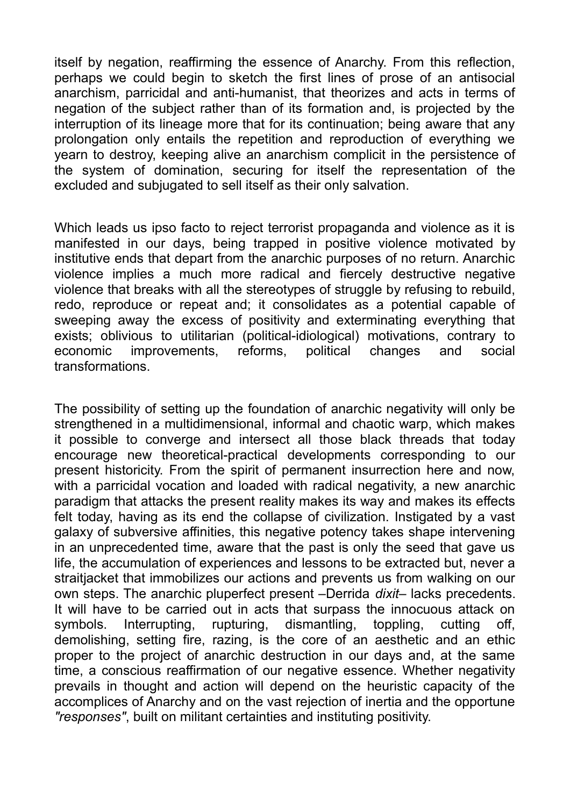itself by negation, reaffirming the essence of Anarchy. From this reflection, perhaps we could begin to sketch the first lines of prose of an antisocial anarchism, parricidal and anti-humanist, that theorizes and acts in terms of negation of the subject rather than of its formation and, is projected by the interruption of its lineage more that for its continuation; being aware that any prolongation only entails the repetition and reproduction of everything we yearn to destroy, keeping alive an anarchism complicit in the persistence of the system of domination, securing for itself the representation of the excluded and subjugated to sell itself as their only salvation.

Which leads us ipso facto to reject terrorist propaganda and violence as it is manifested in our days, being trapped in positive violence motivated by institutive ends that depart from the anarchic purposes of no return. Anarchic violence implies a much more radical and fiercely destructive negative violence that breaks with all the stereotypes of struggle by refusing to rebuild, redo, reproduce or repeat and; it consolidates as a potential capable of sweeping away the excess of positivity and exterminating everything that exists; oblivious to utilitarian (political-idiological) motivations, contrary to economic improvements, reforms, political changes and social transformations.

The possibility of setting up the foundation of anarchic negativity will only be strengthened in a multidimensional, informal and chaotic warp, which makes it possible to converge and intersect all those black threads that today encourage new theoretical-practical developments corresponding to our present historicity. From the spirit of permanent insurrection here and now, with a parricidal vocation and loaded with radical negativity, a new anarchic paradigm that attacks the present reality makes its way and makes its effects felt today, having as its end the collapse of civilization. Instigated by a vast galaxy of subversive affinities, this negative potency takes shape intervening in an unprecedented time, aware that the past is only the seed that gave us life, the accumulation of experiences and lessons to be extracted but, never a straitjacket that immobilizes our actions and prevents us from walking on our own steps. The anarchic pluperfect present –Derrida *dixit*– lacks precedents. It will have to be carried out in acts that surpass the innocuous attack on symbols. Interrupting, rupturing, dismantling, toppling, cutting off, demolishing, setting fire, razing, is the core of an aesthetic and an ethic proper to the project of anarchic destruction in our days and, at the same time, a conscious reaffirmation of our negative essence. Whether negativity prevails in thought and action will depend on the heuristic capacity of the accomplices of Anarchy and on the vast rejection of inertia and the opportune *"responses"*, built on militant certainties and instituting positivity.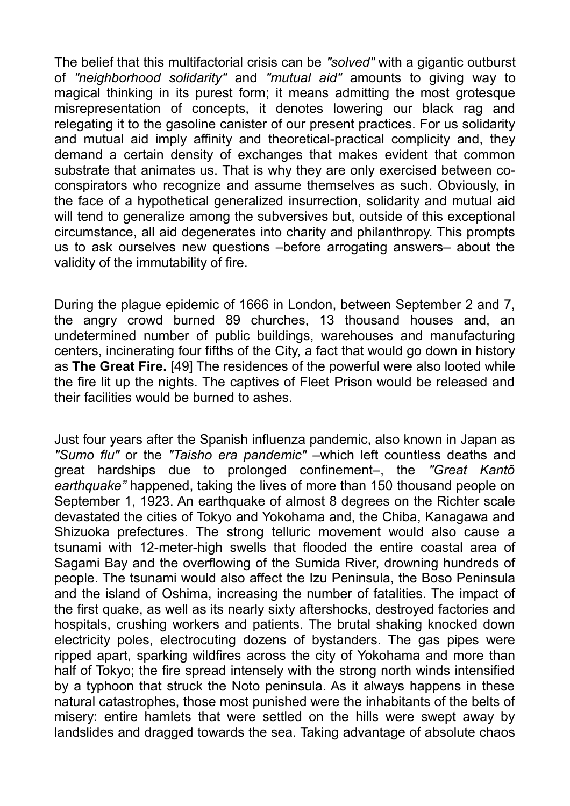The belief that this multifactorial crisis can be *"solved"* with a gigantic outburst of *"neighborhood solidarity"* and *"mutual aid"* amounts to giving way to magical thinking in its purest form; it means admitting the most grotesque misrepresentation of concepts, it denotes lowering our black rag and relegating it to the gasoline canister of our present practices. For us solidarity and mutual aid imply affinity and theoretical-practical complicity and, they demand a certain density of exchanges that makes evident that common substrate that animates us. That is why they are only exercised between coconspirators who recognize and assume themselves as such. Obviously, in the face of a hypothetical generalized insurrection, solidarity and mutual aid will tend to generalize among the subversives but, outside of this exceptional circumstance, all aid degenerates into charity and philanthropy. This prompts us to ask ourselves new questions –before arrogating answers– about the validity of the immutability of fire.

During the plague epidemic of 1666 in London, between September 2 and 7, the angry crowd burned 89 churches, 13 thousand houses and, an undetermined number of public buildings, warehouses and manufacturing centers, incinerating four fifths of the City, a fact that would go down in history as **The Great Fire.** [49] The residences of the powerful were also looted while the fire lit up the nights. The captives of Fleet Prison would be released and their facilities would be burned to ashes.

Just four years after the Spanish influenza pandemic, also known in Japan as *"Sumo flu"* or the *"Taisho era pandemic"* –which left countless deaths and great hardships due to prolonged confinement–, the *"Great Kantõ earthquake"* happened, taking the lives of more than 150 thousand people on September 1, 1923. An earthquake of almost 8 degrees on the Richter scale devastated the cities of Tokyo and Yokohama and, the Chiba, Kanagawa and Shizuoka prefectures. The strong telluric movement would also cause a tsunami with 12-meter-high swells that flooded the entire coastal area of Sagami Bay and the overflowing of the Sumida River, drowning hundreds of people. The tsunami would also affect the Izu Peninsula, the Boso Peninsula and the island of Oshima, increasing the number of fatalities. The impact of the first quake, as well as its nearly sixty aftershocks, destroyed factories and hospitals, crushing workers and patients. The brutal shaking knocked down electricity poles, electrocuting dozens of bystanders. The gas pipes were ripped apart, sparking wildfires across the city of Yokohama and more than half of Tokyo; the fire spread intensely with the strong north winds intensified by a typhoon that struck the Noto peninsula. As it always happens in these natural catastrophes, those most punished were the inhabitants of the belts of misery: entire hamlets that were settled on the hills were swept away by landslides and dragged towards the sea. Taking advantage of absolute chaos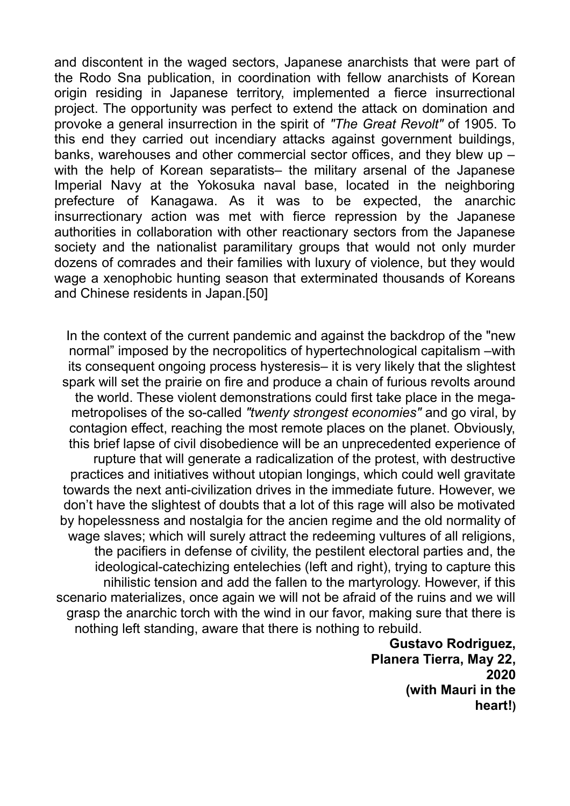and discontent in the waged sectors, Japanese anarchists that were part of the Rodo Sna publication, in coordination with fellow anarchists of Korean origin residing in Japanese territory, implemented a fierce insurrectional project. The opportunity was perfect to extend the attack on domination and provoke a general insurrection in the spirit of *"The Great Revolt"* of 1905. To this end they carried out incendiary attacks against government buildings, banks, warehouses and other commercial sector offices, and they blew up – with the help of Korean separatists– the military arsenal of the Japanese Imperial Navy at the Yokosuka naval base, located in the neighboring prefecture of Kanagawa. As it was to be expected, the anarchic insurrectionary action was met with fierce repression by the Japanese authorities in collaboration with other reactionary sectors from the Japanese society and the nationalist paramilitary groups that would not only murder dozens of comrades and their families with luxury of violence, but they would wage a xenophobic hunting season that exterminated thousands of Koreans and Chinese residents in Japan.[50]

In the context of the current pandemic and against the backdrop of the "new normal" imposed by the necropolitics of hypertechnological capitalism –with its consequent ongoing process hysteresis– it is very likely that the slightest spark will set the prairie on fire and produce a chain of furious revolts around the world. These violent demonstrations could first take place in the megametropolises of the so-called *"twenty strongest economies"* and go viral, by contagion effect, reaching the most remote places on the planet. Obviously, this brief lapse of civil disobedience will be an unprecedented experience of rupture that will generate a radicalization of the protest, with destructive practices and initiatives without utopian longings, which could well gravitate towards the next anti-civilization drives in the immediate future. However, we don't have the slightest of doubts that a lot of this rage will also be motivated by hopelessness and nostalgia for the ancien regime and the old normality of wage slaves; which will surely attract the redeeming vultures of all religions, the pacifiers in defense of civility, the pestilent electoral parties and, the ideological-catechizing entelechies (left and right), trying to capture this nihilistic tension and add the fallen to the martyrology. However, if this scenario materializes, once again we will not be afraid of the ruins and we will grasp the anarchic torch with the wind in our favor, making sure that there is nothing left standing, aware that there is nothing to rebuild.

> **Gustavo Rodriguez, Planera Tierra, May 22, 2020 (with Mauri in the heart!)**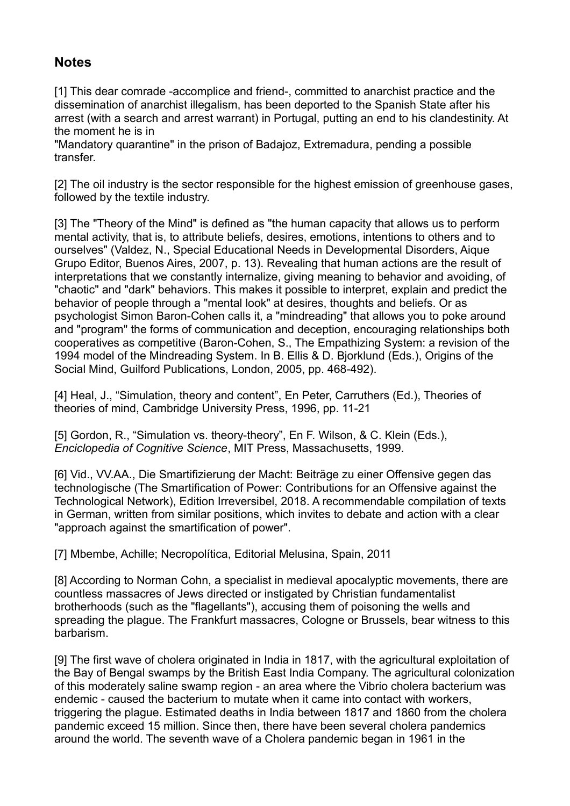#### **Notes**

[1] This dear comrade -accomplice and friend-, committed to anarchist practice and the dissemination of anarchist illegalism, has been deported to the Spanish State after his arrest (with a search and arrest warrant) in Portugal, putting an end to his clandestinity. At the moment he is in

"Mandatory quarantine" in the prison of Badajoz, Extremadura, pending a possible transfer.

[2] The oil industry is the sector responsible for the highest emission of greenhouse gases, followed by the textile industry.

[3] The "Theory of the Mind" is defined as "the human capacity that allows us to perform mental activity, that is, to attribute beliefs, desires, emotions, intentions to others and to ourselves" (Valdez, N., Special Educational Needs in Developmental Disorders, Aique Grupo Editor, Buenos Aires, 2007, p. 13). Revealing that human actions are the result of interpretations that we constantly internalize, giving meaning to behavior and avoiding, of "chaotic" and "dark" behaviors. This makes it possible to interpret, explain and predict the behavior of people through a "mental look" at desires, thoughts and beliefs. Or as psychologist Simon Baron-Cohen calls it, a "mindreading" that allows you to poke around and "program" the forms of communication and deception, encouraging relationships both cooperatives as competitive (Baron-Cohen, S., The Empathizing System: a revision of the 1994 model of the Mindreading System. In B. Ellis & D. Bjorklund (Eds.), Origins of the Social Mind, Guilford Publications, London, 2005, pp. 468-492).

[4] Heal, J., "Simulation, theory and content", En Peter, Carruthers (Ed.), Theories of theories of mind, Cambridge University Press, 1996, pp. 11-21

[5] Gordon, R., "Simulation vs. theory-theory", En F. Wilson, & C. Klein (Eds.), *Enciclopedia of Cognitive Science*, MIT Press, Massachusetts, 1999.

[6] Vid., VV.AA., Die Smartifizierung der Macht: Beiträge zu einer Offensive gegen das technologische (The Smartification of Power: Contributions for an Offensive against the Technological Network), Edition Irreversibel, 2018. A recommendable compilation of texts in German, written from similar positions, which invites to debate and action with a clear "approach against the smartification of power".

[7] Mbembe, Achille; Necropolítica, Editorial Melusina, Spain, 2011

[8] According to Norman Cohn, a specialist in medieval apocalyptic movements, there are countless massacres of Jews directed or instigated by Christian fundamentalist brotherhoods (such as the "flagellants"), accusing them of poisoning the wells and spreading the plague. The Frankfurt massacres, Cologne or Brussels, bear witness to this barbarism.

[9] The first wave of cholera originated in India in 1817, with the agricultural exploitation of the Bay of Bengal swamps by the British East India Company. The agricultural colonization of this moderately saline swamp region - an area where the Vibrio cholera bacterium was endemic - caused the bacterium to mutate when it came into contact with workers, triggering the plague. Estimated deaths in India between 1817 and 1860 from the cholera pandemic exceed 15 million. Since then, there have been several cholera pandemics around the world. The seventh wave of a Cholera pandemic began in 1961 in the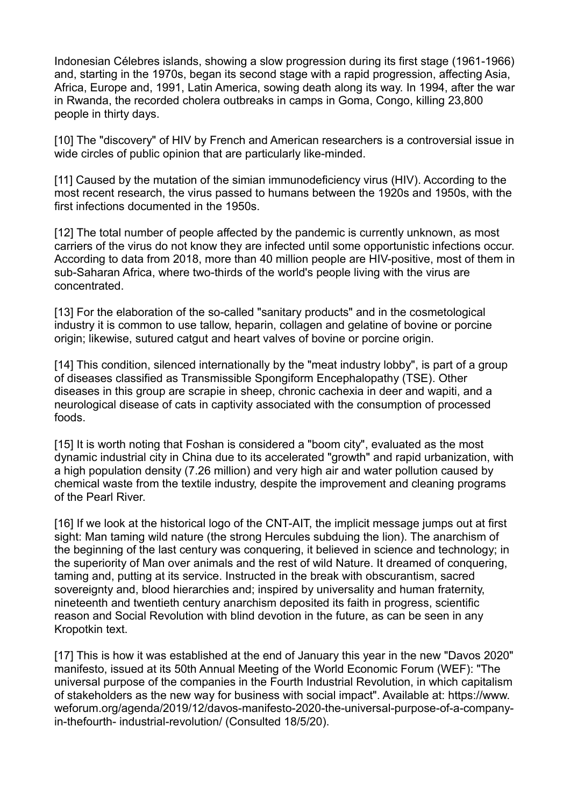Indonesian Célebres islands, showing a slow progression during its first stage (1961-1966) and, starting in the 1970s, began its second stage with a rapid progression, affecting Asia, Africa, Europe and, 1991, Latin America, sowing death along its way. In 1994, after the war in Rwanda, the recorded cholera outbreaks in camps in Goma, Congo, killing 23,800 people in thirty days.

[10] The "discovery" of HIV by French and American researchers is a controversial issue in wide circles of public opinion that are particularly like-minded.

[11] Caused by the mutation of the simian immunodeficiency virus (HIV). According to the most recent research, the virus passed to humans between the 1920s and 1950s, with the first infections documented in the 1950s.

[12] The total number of people affected by the pandemic is currently unknown, as most carriers of the virus do not know they are infected until some opportunistic infections occur. According to data from 2018, more than 40 million people are HIV-positive, most of them in sub-Saharan Africa, where two-thirds of the world's people living with the virus are concentrated.

[13] For the elaboration of the so-called "sanitary products" and in the cosmetological industry it is common to use tallow, heparin, collagen and gelatine of bovine or porcine origin; likewise, sutured catgut and heart valves of bovine or porcine origin.

[14] This condition, silenced internationally by the "meat industry lobby", is part of a group of diseases classified as Transmissible Spongiform Encephalopathy (TSE). Other diseases in this group are scrapie in sheep, chronic cachexia in deer and wapiti, and a neurological disease of cats in captivity associated with the consumption of processed foods.

[15] It is worth noting that Foshan is considered a "boom city", evaluated as the most dynamic industrial city in China due to its accelerated "growth" and rapid urbanization, with a high population density (7.26 million) and very high air and water pollution caused by chemical waste from the textile industry, despite the improvement and cleaning programs of the Pearl River.

[16] If we look at the historical logo of the CNT-AIT, the implicit message jumps out at first sight: Man taming wild nature (the strong Hercules subduing the lion). The anarchism of the beginning of the last century was conquering, it believed in science and technology; in the superiority of Man over animals and the rest of wild Nature. It dreamed of conquering, taming and, putting at its service. Instructed in the break with obscurantism, sacred sovereignty and, blood hierarchies and; inspired by universality and human fraternity, nineteenth and twentieth century anarchism deposited its faith in progress, scientific reason and Social Revolution with blind devotion in the future, as can be seen in any Kropotkin text.

[17] This is how it was established at the end of January this year in the new "Davos 2020" manifesto, issued at its 50th Annual Meeting of the World Economic Forum (WEF): "The universal purpose of the companies in the Fourth Industrial Revolution, in which capitalism of stakeholders as the new way for business with social impact". Available at: https://www. weforum.org/agenda/2019/12/davos-manifesto-2020-the-universal-purpose-of-a-companyin-thefourth- industrial-revolution/ (Consulted 18/5/20).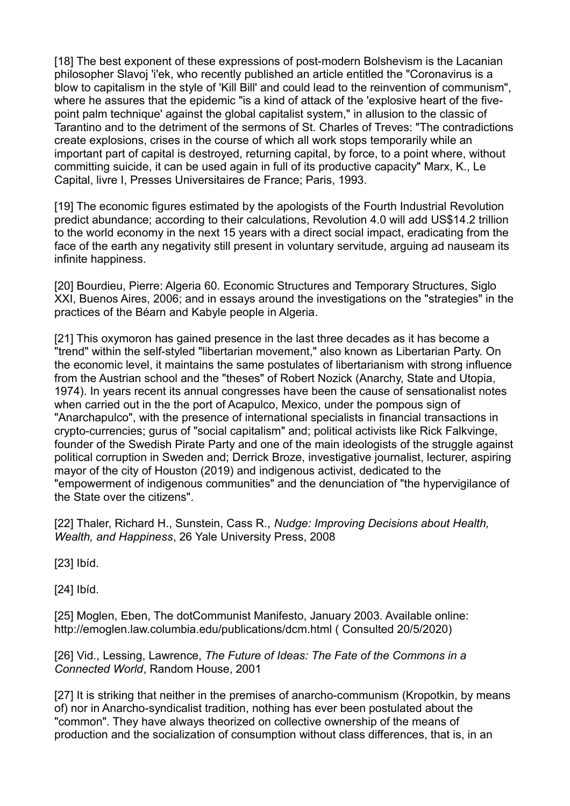[18] The best exponent of these expressions of post-modern Bolshevism is the Lacanian philosopher Slavoj 'i'ek, who recently published an article entitled the "Coronavirus is a blow to capitalism in the style of 'Kill Bill' and could lead to the reinvention of communism", where he assures that the epidemic "is a kind of attack of the 'explosive heart of the fivepoint palm technique' against the global capitalist system," in allusion to the classic of Tarantino and to the detriment of the sermons of St. Charles of Treves: "The contradictions create explosions, crises in the course of which all work stops temporarily while an important part of capital is destroyed, returning capital, by force, to a point where, without committing suicide, it can be used again in full of its productive capacity" Marx, K., Le Capital, livre I, Presses Universitaires de France; Paris, 1993.

[19] The economic figures estimated by the apologists of the Fourth Industrial Revolution predict abundance; according to their calculations, Revolution 4.0 will add US\$14.2 trillion to the world economy in the next 15 years with a direct social impact, eradicating from the face of the earth any negativity still present in voluntary servitude, arguing ad nauseam its infinite happiness.

[20] Bourdieu, Pierre: Algeria 60. Economic Structures and Temporary Structures, Siglo XXI, Buenos Aires, 2006; and in essays around the investigations on the "strategies" in the practices of the Béarn and Kabyle people in Algeria.

[21] This oxymoron has gained presence in the last three decades as it has become a "trend" within the self-styled "libertarian movement," also known as Libertarian Party. On the economic level, it maintains the same postulates of libertarianism with strong influence from the Austrian school and the "theses" of Robert Nozick (Anarchy, State and Utopia, 1974). In years recent its annual congresses have been the cause of sensationalist notes when carried out in the the port of Acapulco, Mexico, under the pompous sign of "Anarchapulco", with the presence of international specialists in financial transactions in crypto-currencies; gurus of "social capitalism" and; political activists like Rick Falkvinge, founder of the Swedish Pirate Party and one of the main ideologists of the struggle against political corruption in Sweden and; Derrick Broze, investigative journalist, lecturer, aspiring mayor of the city of Houston (2019) and indigenous activist, dedicated to the "empowerment of indigenous communities" and the denunciation of "the hypervigilance of the State over the citizens".

[22] Thaler, Richard H., Sunstein, Cass R., *Nudge: Improving Decisions about Health, Wealth, and Happiness*, 26 Yale University Press, 2008

[23] Ibíd.

[24] Ibíd.

[25] Moglen, Eben, The dotCommunist Manifesto, January 2003. Available online: http://emoglen.law.columbia.edu/publications/dcm.html ( Consulted 20/5/2020)

[26] Vid., Lessing, Lawrence, *The Future of Ideas: The Fate of the Commons in a Connected World*, Random House, 2001

[27] It is striking that neither in the premises of anarcho-communism (Kropotkin, by means of) nor in Anarcho-syndicalist tradition, nothing has ever been postulated about the "common". They have always theorized on collective ownership of the means of production and the socialization of consumption without class differences, that is, in an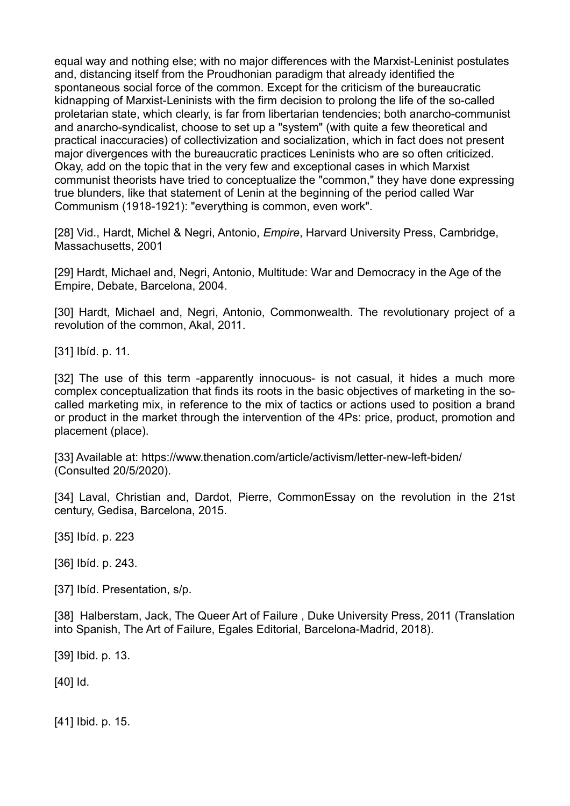equal way and nothing else; with no major differences with the Marxist-Leninist postulates and, distancing itself from the Proudhonian paradigm that already identified the spontaneous social force of the common. Except for the criticism of the bureaucratic kidnapping of Marxist-Leninists with the firm decision to prolong the life of the so-called proletarian state, which clearly, is far from libertarian tendencies; both anarcho-communist and anarcho-syndicalist, choose to set up a "system" (with quite a few theoretical and practical inaccuracies) of collectivization and socialization, which in fact does not present major divergences with the bureaucratic practices Leninists who are so often criticized. Okay, add on the topic that in the very few and exceptional cases in which Marxist communist theorists have tried to conceptualize the "common," they have done expressing true blunders, like that statement of Lenin at the beginning of the period called War Communism (1918-1921): "everything is common, even work".

[28] Vid., Hardt, Michel & Negri, Antonio, *Empire*, Harvard University Press, Cambridge, Massachusetts, 2001

[29] Hardt, Michael and, Negri, Antonio, Multitude: War and Democracy in the Age of the Empire, Debate, Barcelona, 2004.

[30] Hardt, Michael and, Negri, Antonio, Commonwealth. The revolutionary proiect of a revolution of the common, Akal, 2011.

[31] Ibíd. p. 11.

[32] The use of this term -apparently innocuous- is not casual, it hides a much more complex conceptualization that finds its roots in the basic objectives of marketing in the socalled marketing mix, in reference to the mix of tactics or actions used to position a brand or product in the market through the intervention of the 4Ps: price, product, promotion and placement (place).

[33] Available at: https://www.thenation.com/article/activism/letter-new-left-biden/ (Consulted 20/5/2020).

[34] Laval, Christian and, Dardot, Pierre, CommonEssay on the revolution in the 21st century, Gedisa, Barcelona, 2015.

[35] Ibíd. p. 223

[36] Ibíd. p. 243.

[37] Ibíd. Presentation, s/p.

[38] Halberstam, Jack, The Queer Art of Failure, Duke University Press, 2011 (Translation into Spanish, The Art of Failure, Egales Editorial, Barcelona-Madrid, 2018).

[39] Ibid. p. 13.

[40] Id.

[41] Ibid. p. 15.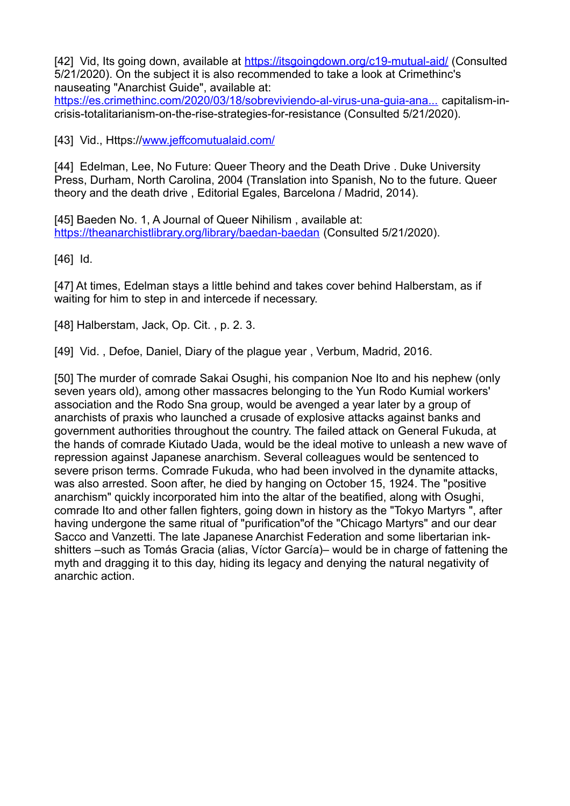[42] Vid, Its going down, available at https://itsgoingdown.org/c19-mutual-aid/ (Consulted 5/21/2020). On the subject it is also recommended to take a look at Crimethinc's nauseating "Anarchist Guide", available at:

https://es.crimethinc.com/2020/03/18/sobreviviendo-al-virus-una-guia-ana... capitalism-incrisis-totalitarianism-on-the-rise-strategies-for-resistance (Consulted 5/21/2020).

[43] Vid., Https:/[/www.jeffcomutualaid.com/](http://www.jeffcomutualaid.com/)

[44] Edelman, Lee, No Future: Queer Theory and the Death Drive . Duke University Press, Durham, North Carolina, 2004 (Translation into Spanish, No to the future. Queer theory and the death drive , Editorial Egales, Barcelona / Madrid, 2014).

[45] Baeden No. 1, A Journal of Queer Nihilism, available at: <https://theanarchistlibrary.org/library/baedan-baedan>(Consulted 5/21/2020).

[46] Id.

[47] At times, Edelman stays a little behind and takes cover behind Halberstam, as if waiting for him to step in and intercede if necessary.

[48] Halberstam, Jack, Op. Cit. , p. 2. 3.

[49] Vid., Defoe, Daniel, Diary of the plague year, Verbum, Madrid, 2016.

[50] The murder of comrade Sakai Osughi, his companion Noe Ito and his nephew (only seven years old), among other massacres belonging to the Yun Rodo Kumial workers' association and the Rodo Sna group, would be avenged a year later by a group of anarchists of praxis who launched a crusade of explosive attacks against banks and government authorities throughout the country. The failed attack on General Fukuda, at the hands of comrade Kiutado Uada, would be the ideal motive to unleash a new wave of repression against Japanese anarchism. Several colleagues would be sentenced to severe prison terms. Comrade Fukuda, who had been involved in the dynamite attacks, was also arrested. Soon after, he died by hanging on October 15, 1924. The "positive anarchism" quickly incorporated him into the altar of the beatified, along with Osughi, comrade Ito and other fallen fighters, going down in history as the "Tokyo Martyrs ", after having undergone the same ritual of "purification"of the "Chicago Martyrs" and our dear Sacco and Vanzetti. The late Japanese Anarchist Federation and some libertarian inkshitters –such as Tomás Gracia (alias, Víctor García)– would be in charge of fattening the myth and dragging it to this day, hiding its legacy and denying the natural negativity of anarchic action.